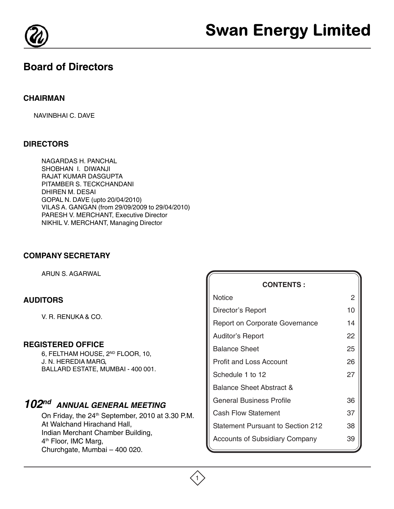

# **Board of Directors**

## **CHAIRMAN**

NAVINBHAI C. DAVE

# **DIRECTORS**

NAGARDAS H. PANCHAL SHOBHAN I. DIWANJI RAJAT KUMAR DASGUPTA PITAMBER S. TECKCHANDANI DHIREN M. DESAI GOPAL N. DAVE (upto 20/04/2010) VILAS A. GANGAN (from 29/09/2009 to 29/04/2010) PARESH V. MERCHANT, Executive Director NIKHIL V. MERCHANT, Managing Director

## **COMPANY SECRETARY**

ARUN S. AGARWAL

# **AUDITORS**

V. R. RENUKA & CO.

## **REGISTERED OFFICE**

6, FELTHAM HOUSE, 2ND FLOOR, 10, J. N. HEREDIA MARG, BALLARD ESTATE, MUMBAI - 400 001.

# **102nd ANNUAL GENERAL MEETING**

On Friday, the 24<sup>th</sup> September, 2010 at 3.30 P.M. At Walchand Hirachand Hall, Indian Merchant Chamber Building, 4<sup>th</sup> Floor, IMC Marg, Churchgate, Mumbai – 400 020.

| <b>CONTENTS:</b>                         |    |
|------------------------------------------|----|
| Notice                                   | 2  |
| Director's Report                        | 10 |
| <b>Report on Corporate Governance</b>    | 14 |
| <b>Auditor's Report</b>                  | 22 |
| <b>Balance Sheet</b>                     | 25 |
| <b>Profit and Loss Account</b>           | 26 |
| Schedule 1 to 12                         | 27 |
| <b>Balance Sheet Abstract &amp;</b>      |    |
| General Business Profile                 | 36 |
| Cash Flow Statement                      | 37 |
| <b>Statement Pursuant to Section 212</b> | 38 |
| <b>Accounts of Subsidiary Company</b>    | 39 |

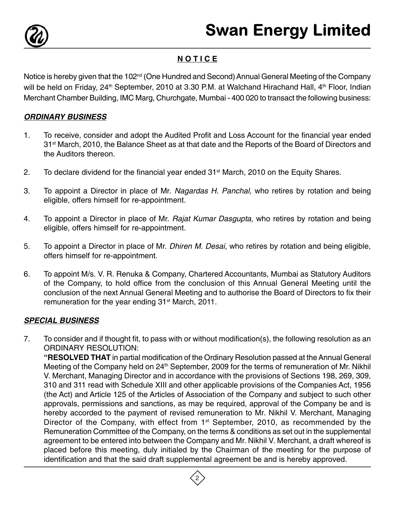

# **N O T I C E**

Notice is hereby given that the 102<sup>nd</sup> (One Hundred and Second) Annual General Meeting of the Company will be held on Friday, 24<sup>th</sup> September, 2010 at 3.30 P.M. at Walchand Hirachand Hall, 4<sup>th</sup> Floor, Indian Merchant Chamber Building, IMC Marg, Churchgate, Mumbai - 400 020 to transact the following business:

# **ORDINARY BUSINESS**

- 1. To receive, consider and adopt the Audited Profit and Loss Account for the financial year ended 31<sup>st</sup> March, 2010, the Balance Sheet as at that date and the Reports of the Board of Directors and the Auditors thereon.
- 2. To declare dividend for the financial year ended  $31<sup>st</sup>$  March, 2010 on the Equity Shares.
- 3. To appoint a Director in place of Mr. Nagardas H. Panchal, who retires by rotation and being eligible, offers himself for re-appointment.
- 4. To appoint a Director in place of Mr. Rajat Kumar Dasgupta, who retires by rotation and being eligible, offers himself for re-appointment.
- 5. To appoint a Director in place of Mr. Dhiren M. Desai, who retires by rotation and being eligible, offers himself for re-appointment.
- 6. To appoint M/s. V. R. Renuka & Company, Chartered Accountants, Mumbai as Statutory Auditors of the Company, to hold office from the conclusion of this Annual General Meeting until the conclusion of the next Annual General Meeting and to authorise the Board of Directors to fix their remuneration for the year ending 31<sup>st</sup> March, 2011.

# **SPECIAL BUSINESS**

7. To consider and if thought fit, to pass with or without modification(s), the following resolution as an ORDINARY RESOLUTION: **"RESOLVED THAT** in partial modification of the Ordinary Resolution passed at the Annual General Meeting of the Company held on 24<sup>th</sup> September, 2009 for the terms of remuneration of Mr. Nikhil V. Merchant, Managing Director and in accordance with the provisions of Sections 198, 269, 309, 310 and 311 read with Schedule XIII and other applicable provisions of the Companies Act, 1956 (the Act) and Article 125 of the Articles of Association of the Company and subject to such other approvals, permissions and sanctions, as may be required, approval of the Company be and is hereby accorded to the payment of revised remuneration to Mr. Nikhil V. Merchant, Managing Director of the Company, with effect from 1<sup>st</sup> September, 2010, as recommended by the Remuneration Committee of the Company, on the terms & conditions as set out in the supplemental agreement to be entered into between the Company and Mr. Nikhil V. Merchant, a draft whereof is placed before this meeting, duly initialed by the Chairman of the meeting for the purpose of identification and that the said draft supplemental agreement be and is hereby approved.

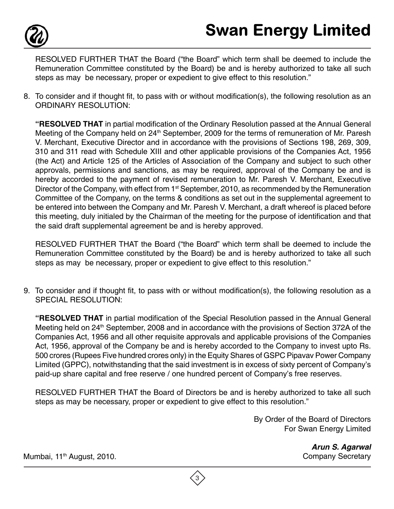

RESOLVED FURTHER THAT the Board ("the Board" which term shall be deemed to include the Remuneration Committee constituted by the Board) be and is hereby authorized to take all such steps as may be necessary, proper or expedient to give effect to this resolution."

8. To consider and if thought fit, to pass with or without modification(s), the following resolution as an ORDINARY RESOLUTION:

**"RESOLVED THAT** in partial modification of the Ordinary Resolution passed at the Annual General Meeting of the Company held on 24<sup>th</sup> September, 2009 for the terms of remuneration of Mr. Paresh V. Merchant, Executive Director and in accordance with the provisions of Sections 198, 269, 309, 310 and 311 read with Schedule XIII and other applicable provisions of the Companies Act, 1956 (the Act) and Article 125 of the Articles of Association of the Company and subject to such other approvals, permissions and sanctions, as may be required, approval of the Company be and is hereby accorded to the payment of revised remuneration to Mr. Paresh V. Merchant, Executive Director of the Company, with effect from  $1<sup>st</sup>$  September, 2010, as recommended by the Remuneration Committee of the Company, on the terms & conditions as set out in the supplemental agreement to be entered into between the Company and Mr. Paresh V. Merchant, a draft whereof is placed before this meeting, duly initialed by the Chairman of the meeting for the purpose of identification and that the said draft supplemental agreement be and is hereby approved.

RESOLVED FURTHER THAT the Board ("the Board" which term shall be deemed to include the Remuneration Committee constituted by the Board) be and is hereby authorized to take all such steps as may be necessary, proper or expedient to give effect to this resolution."

9. To consider and if thought fit, to pass with or without modification(s), the following resolution as a SPECIAL RESOLUTION:

**"RESOLVED THAT** in partial modification of the Special Resolution passed in the Annual General Meeting held on 24<sup>th</sup> September, 2008 and in accordance with the provisions of Section 372A of the Companies Act, 1956 and all other requisite approvals and applicable provisions of the Companies Act, 1956, approval of the Company be and is hereby accorded to the Company to invest upto Rs. 500 crores (Rupees Five hundred crores only) in the Equity Shares of GSPC Pipavav Power Company Limited (GPPC), notwithstanding that the said investment is in excess of sixty percent of Company's paid-up share capital and free reserve / one hundred percent of Company's free reserves.

RESOLVED FURTHER THAT the Board of Directors be and is hereby authorized to take all such steps as may be necessary, proper or expedient to give effect to this resolution."

> By Order of the Board of Directors For Swan Energy Limited

> > **Arun S. Agarwal** Company Secretary

Mumbai, 11<sup>th</sup> August, 2010.

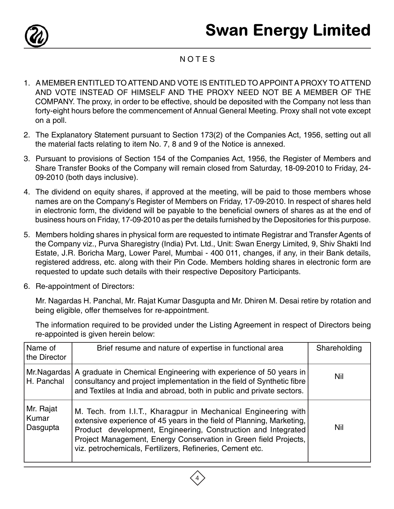

# **NOTES**

- 1. A MEMBER ENTITLED TO ATTEND AND VOTE IS ENTITLED TO APPOINT A PROXY TO ATTEND AND VOTE INSTEAD OF HIMSELF AND THE PROXY NEED NOT BE A MEMBER OF THE COMPANY. The proxy, in order to be effective, should be deposited with the Company not less than forty-eight hours before the commencement of Annual General Meeting. Proxy shall not vote except on a poll.
- 2. The Explanatory Statement pursuant to Section 173(2) of the Companies Act, 1956, setting out all the material facts relating to item No. 7, 8 and 9 of the Notice is annexed.
- 3. Pursuant to provisions of Section 154 of the Companies Act, 1956, the Register of Members and Share Transfer Books of the Company will remain closed from Saturday, 18-09-2010 to Friday, 24- 09-2010 (both days inclusive).
- 4. The dividend on equity shares, if approved at the meeting, will be paid to those members whose names are on the Company's Register of Members on Friday, 17-09-2010. In respect of shares held in electronic form, the dividend will be payable to the beneficial owners of shares as at the end of business hours on Friday, 17-09-2010 as per the details furnished by the Depositories for this purpose.
- 5. Members holding shares in physical form are requested to intimate Registrar and Transfer Agents of the Company viz., Purva Sharegistry (India) Pvt. Ltd., Unit: Swan Energy Limited, 9, Shiv Shakti Ind Estate, J.R. Boricha Marg, Lower Parel, Mumbai - 400 011, changes, if any, in their Bank details, registered address, etc. along with their Pin Code. Members holding shares in electronic form are requested to update such details with their respective Depository Participants.
- 6. Re-appointment of Directors:

Mr. Nagardas H. Panchal, Mr. Rajat Kumar Dasgupta and Mr. Dhiren M. Desai retire by rotation and being eligible, offer themselves for re-appointment.

The information required to be provided under the Listing Agreement in respect of Directors being re-appointed is given herein below:

| Name of<br>the Director        | Brief resume and nature of expertise in functional area                                                                                                                                                                                                                                                                                   | Shareholding |
|--------------------------------|-------------------------------------------------------------------------------------------------------------------------------------------------------------------------------------------------------------------------------------------------------------------------------------------------------------------------------------------|--------------|
| H. Panchal                     | Mr. Nagardas   A graduate in Chemical Engineering with experience of 50 years in<br>consultancy and project implementation in the field of Synthetic fibre<br>and Textiles at India and abroad, both in public and private sectors.                                                                                                       | Nil          |
| Mr. Rajat<br>Kumar<br>Dasgupta | M. Tech. from I.I.T., Kharagpur in Mechanical Engineering with<br>extensive experience of 45 years in the field of Planning, Marketing,<br>Product development, Engineering, Construction and Integrated<br>Project Management, Energy Conservation in Green field Projects,<br>viz. petrochemicals, Fertilizers, Refineries, Cement etc. | Nil          |

4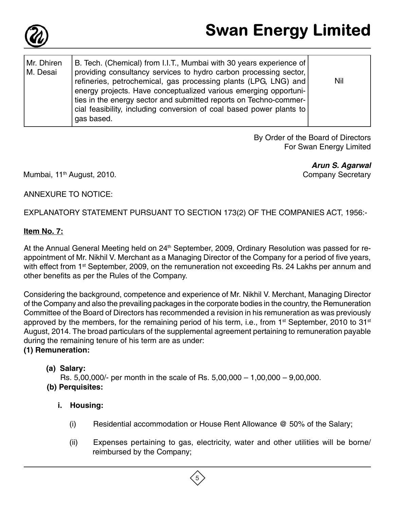

| Mr. Dhiren<br>M. Desai | B. Tech. (Chemical) from I.I.T., Mumbai with 30 years experience of<br>providing consultancy services to hydro carbon processing sector,<br>refineries, petrochemical, gas processing plants (LPG, LNG) and<br>energy projects. Have conceptualized various emerging opportuni-<br>ties in the energy sector and submitted reports on Techno-commer-<br>cial feasibility, including conversion of coal based power plants to<br>gas based. | Nil |
|------------------------|--------------------------------------------------------------------------------------------------------------------------------------------------------------------------------------------------------------------------------------------------------------------------------------------------------------------------------------------------------------------------------------------------------------------------------------------|-----|
|                        |                                                                                                                                                                                                                                                                                                                                                                                                                                            |     |

By Order of the Board of Directors For Swan Energy Limited

Mumbai, 11<sup>th</sup> August, 2010.

**Arun S. Agarwal** Company Secretary

ANNEXURE TO NOTICE:

EXPLANATORY STATEMENT PURSUANT TO SECTION 173(2) OF THE COMPANIES ACT, 1956:-

# **Item No. 7:**

At the Annual General Meeting held on 24<sup>th</sup> September, 2009, Ordinary Resolution was passed for reappointment of Mr. Nikhil V. Merchant as a Managing Director of the Company for a period of five years, with effect from 1<sup>st</sup> September, 2009, on the remuneration not exceeding Rs. 24 Lakhs per annum and other benefits as per the Rules of the Company.

Considering the background, competence and experience of Mr. Nikhil V. Merchant, Managing Director of the Company and also the prevailing packages in the corporate bodies in the country, the Remuneration Committee of the Board of Directors has recommended a revision in his remuneration as was previously approved by the members, for the remaining period of his term, i.e., from  $1<sup>st</sup>$  September, 2010 to 31 $<sup>st</sup>$ </sup> August, 2014. The broad particulars of the supplemental agreement pertaining to remuneration payable during the remaining tenure of his term are as under:

# **(1) Remuneration:**

# **(a) Salary:**

Rs. 5,00,000/- per month in the scale of Rs. 5,00,000 – 1,00,000 – 9,00,000. **(b) Perquisites:**

# **i. Housing:**

- (i) Residential accommodation or House Rent Allowance @ 50% of the Salary;
- (ii) Expenses pertaining to gas, electricity, water and other utilities will be borne/ reimbursed by the Company;

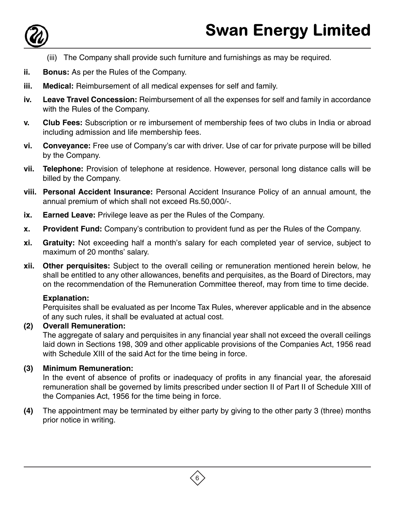

- (iii) The Company shall provide such furniture and furnishings as may be required.
- **ii. Bonus:** As per the Rules of the Company.
- **iii. Medical:** Reimbursement of all medical expenses for self and family.
- **iv. Leave Travel Concession:** Reimbursement of all the expenses for self and family in accordance with the Rules of the Company.
- **v. Club Fees:** Subscription or re imbursement of membership fees of two clubs in India or abroad including admission and life membership fees.
- **vi. Conveyance:** Free use of Company's car with driver. Use of car for private purpose will be billed by the Company.
- **vii. Telephone:** Provision of telephone at residence. However, personal long distance calls will be billed by the Company.
- **viii. Personal Accident Insurance:** Personal Accident Insurance Policy of an annual amount, the annual premium of which shall not exceed Rs.50,000/-.
- **ix.** Earned Leave: Privilege leave as per the Rules of the Company.
- **x. Provident Fund:** Company's contribution to provident fund as per the Rules of the Company.
- **xi. Gratuity:** Not exceeding half a month's salary for each completed year of service, subject to maximum of 20 months' salary.
- **xii. Other perquisites:** Subject to the overall ceiling or remuneration mentioned herein below, he shall be entitled to any other allowances, benefits and perquisites, as the Board of Directors, may on the recommendation of the Remuneration Committee thereof, may from time to time decide.

# **Explanation:**

Perquisites shall be evaluated as per Income Tax Rules, wherever applicable and in the absence of any such rules, it shall be evaluated at actual cost.

# **(2) Overall Remuneration:**

The aggregate of salary and perquisites in any financial year shall not exceed the overall ceilings laid down in Sections 198, 309 and other applicable provisions of the Companies Act, 1956 read with Schedule XIII of the said Act for the time being in force.

# **(3) Minimum Remuneration:**

In the event of absence of profits or inadequacy of profits in any financial year, the aforesaid remuneration shall be governed by limits prescribed under section II of Part II of Schedule XIII of the Companies Act, 1956 for the time being in force.

**(4)** The appointment may be terminated by either party by giving to the other party 3 (three) months prior notice in writing.

 $\left(6\right)$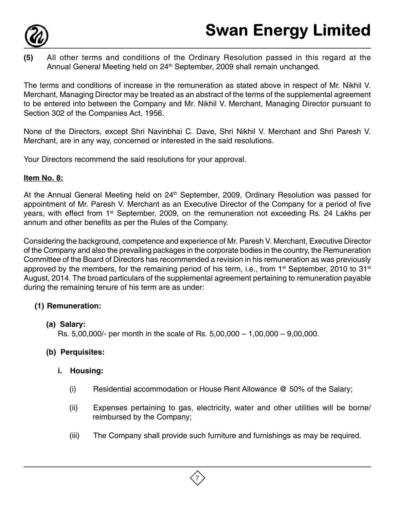

**(5)** All other terms and conditions of the Ordinary Resolution passed in this regard at the Annual General Meeting held on 24<sup>th</sup> September, 2009 shall remain unchanged.

The terms and conditions of increase in the remuneration as stated above in respect of Mr. Nikhil V. Merchant, Managing Director may be treated as an abstract of the terms of the supplemental agreement to be entered into between the Company and Mr. Nikhil V. Merchant, Managing Director pursuant to Section 302 of the Companies Act, 1956.

None of the Directors, except Shri Navinbhai C. Dave, Shri Nikhil V. Merchant and Shri Paresh V. Merchant, are in any way, concerned or interested in the said resolutions.

Your Directors recommend the said resolutions for your approval.

# **Item No. 8:**

At the Annual General Meeting held on 24<sup>th</sup> September, 2009, Ordinary Resolution was passed for appointment of Mr. Paresh V. Merchant as an Executive Director of the Company for a period of five years, with effect from 1<sup>st</sup> September, 2009, on the remuneration not exceeding Rs. 24 Lakhs per annum and other benefits as per the Rules of the Company.

Considering the background, competence and experience of Mr. Paresh V. Merchant, Executive Director of the Company and also the prevailing packages in the corporate bodies in the country, the Remuneration Committee of the Board of Directors has recommended a revision in his remuneration as was previously approved by the members, for the remaining period of his term, i.e., from  $1<sup>st</sup>$  September, 2010 to 31 $<sup>st</sup>$ </sup> August, 2014. The broad particulars of the supplemental agreement pertaining to remuneration payable during the remaining tenure of his term are as under:

# **(1) Remuneration:**

# **(a) Salary:**

Rs. 5,00,000/- per month in the scale of Rs. 5,00,000 – 1,00,000 – 9,00,000.

# **(b) Perquisites:**

# **i. Housing:**

- (i) Residential accommodation or House Rent Allowance @ 50% of the Salary;
- (ii) Expenses pertaining to gas, electricity, water and other utilities will be borne/ reimbursed by the Company;
- (iii) The Company shall provide such furniture and furnishings as may be required.

7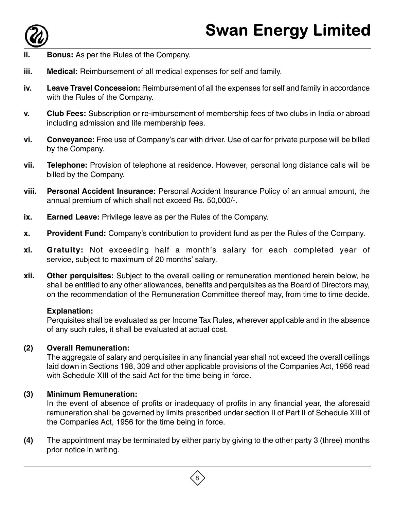

- **Bonus:** As per the Rules of the Company.
- **iii.** Medical: Reimbursement of all medical expenses for self and family.
- **iv. Leave Travel Concession:** Reimbursement of all the expenses for self and family in accordance with the Rules of the Company.
- **v. Club Fees:** Subscription or re-imbursement of membership fees of two clubs in India or abroad including admission and life membership fees.
- **vi. Conveyance:** Free use of Company's car with driver. Use of car for private purpose will be billed by the Company.
- **vii. Telephone:** Provision of telephone at residence. However, personal long distance calls will be billed by the Company.
- **viii. Personal Accident Insurance:** Personal Accident Insurance Policy of an annual amount, the annual premium of which shall not exceed Rs. 50,000/-.
- **ix. Earned Leave:** Privilege leave as per the Rules of the Company.
- **x. Provident Fund:** Company's contribution to provident fund as per the Rules of the Company.
- **xi. Gratuity:** Not exceeding half a month's salary for each completed year of service, subject to maximum of 20 months' salary.
- **xii. Other perquisites:** Subject to the overall ceiling or remuneration mentioned herein below, he shall be entitled to any other allowances, benefits and perquisites as the Board of Directors may, on the recommendation of the Remuneration Committee thereof may, from time to time decide.

## **Explanation:**

Perquisites shall be evaluated as per Income Tax Rules, wherever applicable and in the absence of any such rules, it shall be evaluated at actual cost.

# **(2) Overall Remuneration:**

The aggregate of salary and perquisites in any financial year shall not exceed the overall ceilings laid down in Sections 198, 309 and other applicable provisions of the Companies Act, 1956 read with Schedule XIII of the said Act for the time being in force.

# **(3) Minimum Remuneration:**

In the event of absence of profits or inadequacy of profits in any financial year, the aforesaid remuneration shall be governed by limits prescribed under section II of Part II of Schedule XIII of the Companies Act, 1956 for the time being in force.

**(4)** The appointment may be terminated by either party by giving to the other party 3 (three) months prior notice in writing.

8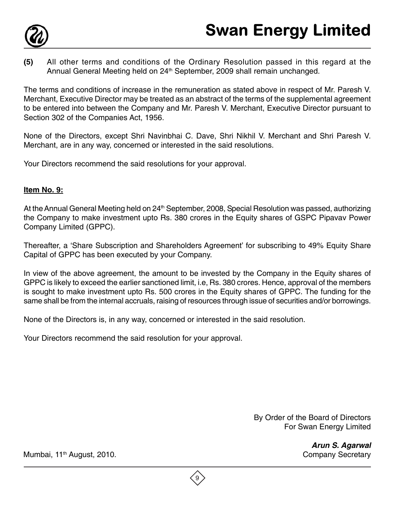

**(5)** All other terms and conditions of the Ordinary Resolution passed in this regard at the Annual General Meeting held on 24<sup>th</sup> September, 2009 shall remain unchanged.

The terms and conditions of increase in the remuneration as stated above in respect of Mr. Paresh V. Merchant, Executive Director may be treated as an abstract of the terms of the supplemental agreement to be entered into between the Company and Mr. Paresh V. Merchant, Executive Director pursuant to Section 302 of the Companies Act, 1956.

None of the Directors, except Shri Navinbhai C. Dave, Shri Nikhil V. Merchant and Shri Paresh V. Merchant, are in any way, concerned or interested in the said resolutions.

Your Directors recommend the said resolutions for your approval.

# **Item No. 9:**

At the Annual General Meeting held on 24<sup>th</sup> September, 2008, Special Resolution was passed, authorizing the Company to make investment upto Rs. 380 crores in the Equity shares of GSPC Pipavav Power Company Limited (GPPC).

Thereafter, a 'Share Subscription and Shareholders Agreement' for subscribing to 49% Equity Share Capital of GPPC has been executed by your Company.

In view of the above agreement, the amount to be invested by the Company in the Equity shares of GPPC is likely to exceed the earlier sanctioned limit, i.e, Rs. 380 crores. Hence, approval of the members is sought to make investment upto Rs. 500 crores in the Equity shares of GPPC. The funding for the same shall be from the internal accruals, raising of resources through issue of securities and/or borrowings.

None of the Directors is, in any way, concerned or interested in the said resolution.

Your Directors recommend the said resolution for your approval.

By Order of the Board of Directors For Swan Energy Limited

> **Arun S. Agarwal** Company Secretary

Mumbai, 11<sup>th</sup> August, 2010.

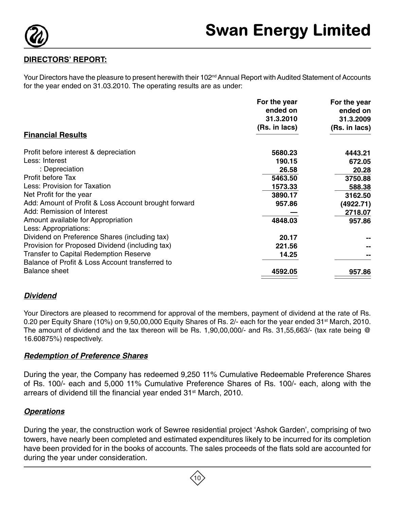

# **DIRECTORS' REPORT:**

Your Directors have the pleasure to present herewith their 102<sup>nd</sup> Annual Report with Audited Statement of Accounts for the year ended on 31.03.2010. The operating results are as under:

|                                                                        | For the year<br>ended on<br>31.3.2010 | For the year<br>ended on<br>31.3.2009 |
|------------------------------------------------------------------------|---------------------------------------|---------------------------------------|
|                                                                        | (Rs. in lacs)                         | (Rs. in lacs)                         |
| <b>Financial Results</b>                                               |                                       |                                       |
| Profit before interest & depreciation                                  | 5680.23                               | 4443.21                               |
| Less: Interest                                                         | 190.15                                | 672.05                                |
| : Depreciation                                                         | 26.58                                 | 20.28                                 |
| Profit before Tax                                                      | 5463.50                               | 3750.88                               |
| Less: Provision for Taxation                                           | 1573.33                               | 588.38                                |
| Net Profit for the year                                                | 3890.17                               | 3162.50                               |
| Add: Amount of Profit & Loss Account brought forward                   | 957.86                                | (4922.71)                             |
| Add: Remission of Interest                                             |                                       | 2718.07                               |
| Amount available for Appropriation                                     | 4848.03                               | 957.86                                |
| Less: Appropriations:<br>Dividend on Preference Shares (including tax) | 20.17                                 |                                       |
| Provision for Proposed Dividend (including tax)                        | 221.56                                |                                       |
| <b>Transfer to Capital Redemption Reserve</b>                          | 14.25                                 |                                       |
| Balance of Profit & Loss Account transferred to                        |                                       |                                       |
| <b>Balance sheet</b>                                                   | 4592.05                               | 957.86                                |

# **Dividend**

Your Directors are pleased to recommend for approval of the members, payment of dividend at the rate of Rs. 0.20 per Equity Share (10%) on 9,50,00,000 Equity Shares of Rs. 2/- each for the year ended 31<sup>st</sup> March, 2010. The amount of dividend and the tax thereon will be Rs. 1,90,00,000/- and Rs. 31,55,663/- (tax rate being @ 16.60875%) respectively.

## **Redemption of Preference Shares**

During the year, the Company has redeemed 9,250 11% Cumulative Redeemable Preference Shares of Rs. 100/- each and 5,000 11% Cumulative Preference Shares of Rs. 100/- each, along with the arrears of dividend till the financial year ended 31<sup>st</sup> March, 2010.

# **Operations**

During the year, the construction work of Sewree residential project 'Ashok Garden', comprising of two towers, have nearly been completed and estimated expenditures likely to be incurred for its completion have been provided for in the books of accounts. The sales proceeds of the flats sold are accounted for during the year under consideration.

10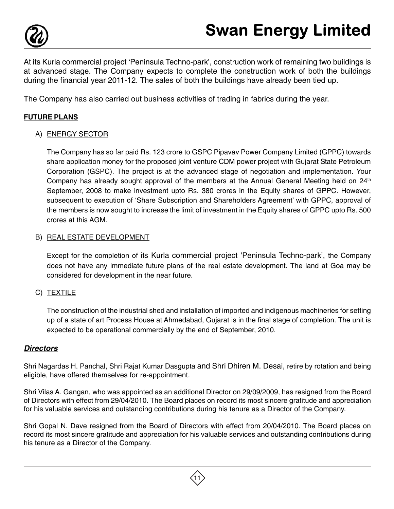

At its Kurla commercial project 'Peninsula Techno-park', construction work of remaining two buildings is at advanced stage. The Company expects to complete the construction work of both the buildings during the financial year 2011-12. The sales of both the buildings have already been tied up.

The Company has also carried out business activities of trading in fabrics during the year.

# **FUTURE PLANS**

# A) ENERGY SECTOR

The Company has so far paid Rs. 123 crore to GSPC Pipavav Power Company Limited (GPPC) towards share application money for the proposed joint venture CDM power project with Gujarat State Petroleum Corporation (GSPC). The project is at the advanced stage of negotiation and implementation. Your Company has already sought approval of the members at the Annual General Meeting held on  $24<sup>th</sup>$ September, 2008 to make investment upto Rs. 380 crores in the Equity shares of GPPC. However, subsequent to execution of 'Share Subscription and Shareholders Agreement' with GPPC, approval of the members is now sought to increase the limit of investment in the Equity shares of GPPC upto Rs. 500 crores at this AGM.

#### B) REAL ESTATE DEVELOPMENT

Except for the completion of its Kurla commercial project 'Peninsula Techno-park', the Company does not have any immediate future plans of the real estate development. The land at Goa may be considered for development in the near future.

## C) TEXTILE

The construction of the industrial shed and installation of imported and indigenous machineries for setting up of a state of art Process House at Ahmedabad, Gujarat is in the final stage of completion. The unit is expected to be operational commercially by the end of September, 2010.

## **Directors**

Shri Nagardas H. Panchal, Shri Rajat Kumar Dasgupta and Shri Dhiren M. Desai, retire by rotation and being eligible, have offered themselves for re-appointment.

Shri Vilas A. Gangan, who was appointed as an additional Director on 29/09/2009, has resigned from the Board of Directors with effect from 29/04/2010. The Board places on record its most sincere gratitude and appreciation for his valuable services and outstanding contributions during his tenure as a Director of the Company.

Shri Gopal N. Dave resigned from the Board of Directors with effect from 20/04/2010. The Board places on record its most sincere gratitude and appreciation for his valuable services and outstanding contributions during his tenure as a Director of the Company.

11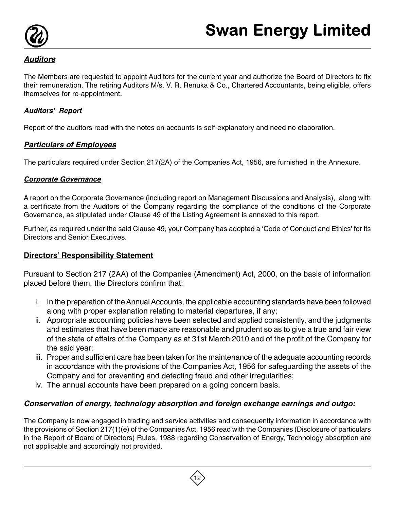

# **Auditors**

The Members are requested to appoint Auditors for the current year and authorize the Board of Directors to fix their remuneration. The retiring Auditors M/s. V. R. Renuka & Co., Chartered Accountants, being eligible, offers themselves for re-appointment.

# **Auditors' Report**

Report of the auditors read with the notes on accounts is self-explanatory and need no elaboration.

# **Particulars of Employees**

The particulars required under Section 217(2A) of the Companies Act, 1956, are furnished in the Annexure.

# **Corporate Governance**

A report on the Corporate Governance (including report on Management Discussions and Analysis), along with a certificate from the Auditors of the Company regarding the compliance of the conditions of the Corporate Governance, as stipulated under Clause 49 of the Listing Agreement is annexed to this report.

Further, as required under the said Clause 49, your Company has adopted a 'Code of Conduct and Ethics' for its Directors and Senior Executives.

# **Directors' Responsibility Statement**

Pursuant to Section 217 (2AA) of the Companies (Amendment) Act, 2000, on the basis of information placed before them, the Directors confirm that:

- i. In the preparation of the Annual Accounts, the applicable accounting standards have been followed along with proper explanation relating to material departures, if any;
- ii. Appropriate accounting policies have been selected and applied consistently, and the judgments and estimates that have been made are reasonable and prudent so as to give a true and fair view of the state of affairs of the Company as at 31st March 2010 and of the profit of the Company for the said year;
- iii. Proper and sufficient care has been taken for the maintenance of the adequate accounting records in accordance with the provisions of the Companies Act, 1956 for safeguarding the assets of the Company and for preventing and detecting fraud and other irregularities;
- iv. The annual accounts have been prepared on a going concern basis.

# **Conservation of energy, technology absorption and foreign exchange earnings and outgo:**

The Company is now engaged in trading and service activities and consequently information in accordance with the provisions of Section 217(1)(e) of the Companies Act, 1956 read with the Companies (Disclosure of particulars in the Report of Board of Directors) Rules, 1988 regarding Conservation of Energy, Technology absorption are not applicable and accordingly not provided.

12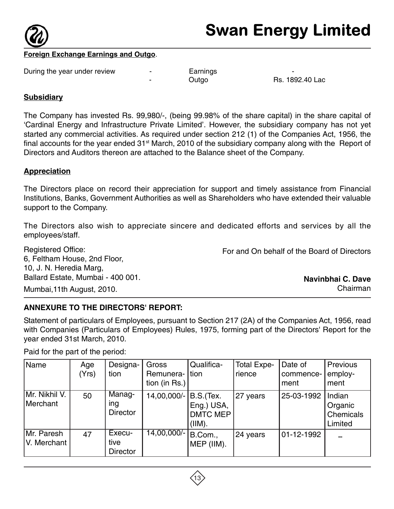

## **Foreign Exchange Earnings and Outgo**.

During the year under review - Earnings -

Outgo Rs. 1892.40 Lac

## **Subsidiary**

The Company has invested Rs. 99,980/-, (being 99.98% of the share capital) in the share capital of 'Cardinal Energy and Infrastructure Private Limited'. However, the subsidiary company has not yet started any commercial activities. As required under section 212 (1) of the Companies Act, 1956, the final accounts for the year ended  $31<sup>st</sup>$  March, 2010 of the subsidiary company along with the Report of Directors and Auditors thereon are attached to the Balance sheet of the Company.

# **Appreciation**

The Directors place on record their appreciation for support and timely assistance from Financial Institutions, Banks, Government Authorities as well as Shareholders who have extended their valuable support to the Company.

The Directors also wish to appreciate sincere and dedicated efforts and services by all the employees/staff.

Registered Office: 6, Feltham House, 2nd Floor, 10, J. N. Heredia Marg, Ballard Estate, Mumbai - 400 001.

Mumbai,11th August, 2010.

For and On behalf of the Board of Directors

**Navinbhai C. Dave** Chairman

# **ANNEXURE TO THE DIRECTORS' REPORT:**

Statement of particulars of Employees, pursuant to Section 217 (2A) of the Companies Act, 1956, read with Companies (Particulars of Employees) Rules, 1975, forming part of the Directors' Report for the year ended 31st March, 2010.

Paid for the part of the period:

| Name                      | Age<br>(Yrs) | Designa-<br>tion                  | Gross<br>Remunera-<br>tion (in Rs.) | Qualifica-<br> tion                                  | <b>Total Expe-</b><br>rience | Date of<br>commence-<br>ment | Previous<br>employ-<br>ment               |
|---------------------------|--------------|-----------------------------------|-------------------------------------|------------------------------------------------------|------------------------------|------------------------------|-------------------------------------------|
| Mr. Nikhil V.<br>Merchant | 50           | Manag-<br>ing<br><b>Director</b>  | 14,00,000/-                         | B.S.(Tex.<br>Eng.) USA,<br><b>DMTC MEP</b><br>(IIM). | 27 years                     | 25-03-1992                   | Indian<br>Organic<br>Chemicals<br>Limited |
| Mr. Paresh<br>V. Merchant | 47           | Execu-<br>tive<br><b>Director</b> | 14,00,000/-                         | B.Com.,<br>MEP (IIM).                                | 24 years                     | 01-12-1992                   | --                                        |

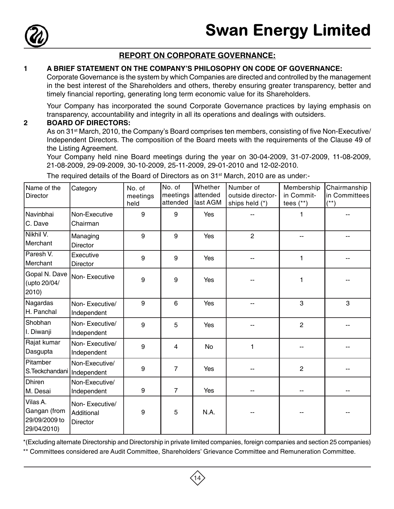

# **REPORT ON CORPORATE GOVERNANCE:**

#### **1 A BRIEF STATEMENT ON THE COMPANY'S PHILOSOPHY ON CODE OF GOVERNANCE:**

Corporate Governance is the system by which Companies are directed and controlled by the management in the best interest of the Shareholders and others, thereby ensuring greater transparency, better and timely financial reporting, generating long term economic value for its Shareholders.

Your Company has incorporated the sound Corporate Governance practices by laying emphasis on transparency, accountability and integrity in all its operations and dealings with outsiders.

#### **2 BOARD OF DIRECTORS:**

As on 31<sup>st</sup> March, 2010, the Company's Board comprises ten members, consisting of five Non-Executive/ Independent Directors. The composition of the Board meets with the requirements of the Clause 49 of the Listing Agreement.

Your Company held nine Board meetings during the year on 30-04-2009, 31-07-2009, 11-08-2009, 21-08-2009, 29-09-2009, 30-10-2009, 25-11-2009, 29-01-2010 and 12-02-2010.

The required details of the Board of Directors as on 31<sup>st</sup> March, 2010 are as under:-

| Name of the<br><b>Director</b>                           | Category                                        | No. of<br>meetings<br>held | No. of<br>meetings<br>attended | Whether<br>attended<br>last AGM | Number of<br>outside director-<br>ships held (*) | Membership<br>in Commit-<br>tees $(**)$ | Chairmanship<br>in Committees<br>$(**)$ |
|----------------------------------------------------------|-------------------------------------------------|----------------------------|--------------------------------|---------------------------------|--------------------------------------------------|-----------------------------------------|-----------------------------------------|
| Navinbhai<br>C. Dave                                     | Non-Executive<br>Chairman                       | 9                          | 9                              | Yes                             |                                                  |                                         |                                         |
| Nikhil V.<br>Merchant                                    | Managing<br><b>Director</b>                     | 9                          | 9                              | Yes                             | $\overline{2}$                                   |                                         |                                         |
| Paresh V.<br>Merchant                                    | Executive<br><b>Director</b>                    | 9                          | 9                              | Yes                             |                                                  | 1                                       |                                         |
| Gopal N. Dave<br>(upto 20/04/<br>2010)                   | Non-Executive                                   | 9                          | 9                              | Yes                             |                                                  | 1                                       |                                         |
| Nagardas<br>H. Panchal                                   | Non-Executive/<br>Independent                   | 9                          | 6                              | Yes                             |                                                  | 3                                       | 3                                       |
| Shobhan<br>I. Diwanji                                    | Non-Executive/<br>Independent                   | 9                          | 5                              | Yes                             |                                                  | $\overline{2}$                          |                                         |
| Rajat kumar<br>Dasgupta                                  | Non-Executive/<br>Independent                   | 9                          | $\overline{4}$                 | No                              | 1                                                |                                         |                                         |
| Pitamber<br>S.Teckchandani                               | Non-Executive/<br>Independent                   | 9                          | $\overline{7}$                 | Yes                             | --                                               | $\overline{c}$                          |                                         |
| <b>Dhiren</b><br>M. Desai                                | Non-Executive/<br>Independent                   | 9                          | $\overline{7}$                 | Yes                             | --                                               |                                         |                                         |
| Vilas A.<br>Gangan (from<br>29/09/2009 to<br>29/04/2010) | Non-Executive/<br>Additional<br><b>Director</b> | 9                          | 5                              | N.A.                            |                                                  |                                         |                                         |

\*(Excluding alternate Directorship and Directorship in private limited companies, foreign companies and section 25 companies)

14

\*\* Committees considered are Audit Committee, Shareholders' Grievance Committee and Remuneration Committee.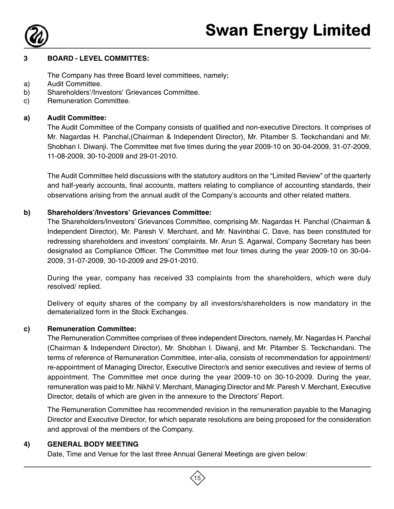

#### **3 BOARD - LEVEL COMMITTES:**

The Company has three Board level committees, namely;

- a) Audit Committee.
- b) Shareholders'/Investors' Grievances Committee.
- c) Remuneration Committee.

### **a) Audit Committee:**

The Audit Committee of the Company consists of qualified and non-executive Directors. It comprises of Mr. Nagardas H. Panchal,(Chairman & Independent Director), Mr. Pitamber S. Teckchandani and Mr. Shobhan I. Diwanji. The Committee met five times during the year 2009-10 on 30-04-2009, 31-07-2009, 11-08-2009, 30-10-2009 and 29-01-2010.

The Audit Committee held discussions with the statutory auditors on the "Limited Review" of the quarterly and half-yearly accounts, final accounts, matters relating to compliance of accounting standards, their observations arising from the annual audit of the Company's accounts and other related matters.

#### **b) Shareholders'/Investors' Grievances Committee:**

The Shareholders/Investors' Grievances Committee, comprising Mr. Nagardas H. Panchal (Chairman & Independent Director), Mr. Paresh V. Merchant, and Mr. Navinbhai C. Dave, has been constituted for redressing shareholders and investors' complaints. Mr. Arun S. Agarwal, Company Secretary has been designated as Compliance Officer. The Committee met four times during the year 2009-10 on 30-04- 2009, 31-07-2009, 30-10-2009 and 29-01-2010.

During the year, company has received 33 complaints from the shareholders, which were duly resolved/ replied.

Delivery of equity shares of the company by all investors/shareholders is now mandatory in the dematerialized form in the Stock Exchanges.

## **c) Remuneration Committee:**

The Remuneration Committee comprises of three independent Directors, namely, Mr. Nagardas H. Panchal (Chairman & Independent Director), Mr. Shobhan I. Diwanji, and Mr. Pitamber S. Teckchandani. The terms of reference of Remuneration Committee, inter-alia, consists of recommendation for appointment/ re-appointment of Managing Director, Executive Director/s and senior executives and review of terms of appointment. The Committee met once during the year 2009-10 on 30-10-2009. During the year, remuneration was paid to Mr. Nikhil V. Merchant, Managing Director and Mr. Paresh V. Merchant, Executive Director, details of which are given in the annexure to the Directors' Report.

The Remuneration Committee has recommended revision in the remuneration payable to the Managing Director and Executive Director, for which separate resolutions are being proposed for the consideration and approval of the members of the Company.

#### **4) GENERAL BODY MEETING**

Date, Time and Venue for the last three Annual General Meetings are given below:

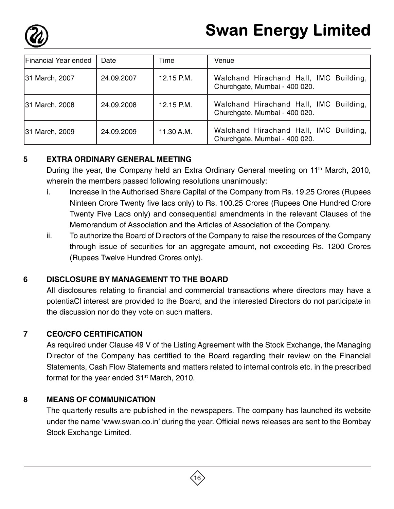

| Financial Year ended | Date       | Time       | Venue                                                                   |
|----------------------|------------|------------|-------------------------------------------------------------------------|
| 31 March, 2007       | 24.09.2007 | 12.15 P.M. | Walchand Hirachand Hall, IMC Building,<br>Churchgate, Mumbai - 400 020. |
| 31 March, 2008       | 24.09.2008 | 12.15 P.M. | Walchand Hirachand Hall, IMC Building,<br>Churchgate, Mumbai - 400 020. |
| 31 March, 2009       | 24.09.2009 | 11.30 A.M. | Walchand Hirachand Hall, IMC Building,<br>Churchgate, Mumbai - 400 020. |

# **5 EXTRA ORDINARY GENERAL MEETING**

During the year, the Company held an Extra Ordinary General meeting on 11<sup>th</sup> March, 2010, wherein the members passed following resolutions unanimously:

- i. Increase in the Authorised Share Capital of the Company from Rs. 19.25 Crores (Rupees Ninteen Crore Twenty five lacs only) to Rs. 100.25 Crores (Rupees One Hundred Crore Twenty Five Lacs only) and consequential amendments in the relevant Clauses of the Memorandum of Association and the Articles of Association of the Company.
- ii. To authorize the Board of Directors of the Company to raise the resources of the Company through issue of securities for an aggregate amount, not exceeding Rs. 1200 Crores (Rupees Twelve Hundred Crores only).

# **6 DISCLOSURE BY MANAGEMENT TO THE BOARD**

All disclosures relating to financial and commercial transactions where directors may have a potentiaCl interest are provided to the Board, and the interested Directors do not participate in the discussion nor do they vote on such matters.

# **7 CEO/CFO CERTIFICATION**

As required under Clause 49 V of the Listing Agreement with the Stock Exchange, the Managing Director of the Company has certified to the Board regarding their review on the Financial Statements, Cash Flow Statements and matters related to internal controls etc. in the prescribed format for the year ended 31<sup>st</sup> March, 2010.

# **8 MEANS OF COMMUNICATION**

The quarterly results are published in the newspapers. The company has launched its website under the name 'www.swan.co.in' during the year. Official news releases are sent to the Bombay Stock Exchange Limited.

16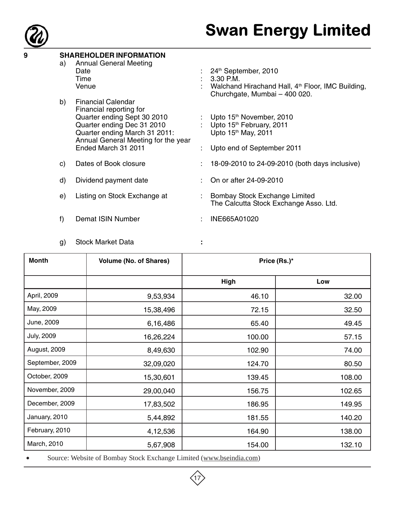

# **9 SHAREHOLDER INFORMATION**

a) Annual General Meeting Date : 24<sup>th</sup> September, 2010<br>Time : 3.30 P.M. Time : 3.30 P.M.<br>Venue : 3.30 P.M. : Walchand Hirachand Hall,  $4<sup>th</sup>$  Floor, IMC Building, Churchgate, Mumbai – 400 020. b) Financial Calendar Financial reporting for Quarter ending Sept 30 2010 : Upto 15<sup>th</sup> November, 2010<br>Quarter ending Dec 31 2010 : Upto 15<sup>th</sup> February, 2011 Quarter ending Dec 31 2010 :

Annual General Meeting for the year

- Quarter ending March 31 2011: Upto 15<sup>th</sup> May, 2011
	- : Upto end of September 2011
- c) Dates of Book closure : 18-09-2010 to 24-09-2010 (both days inclusive)
- d) Dividend payment date : On or after 24-09-2010
- e) Listing on Stock Exchange at : Bombay Stock Exchange Limited The Calcutta Stock Exchange Asso. Ltd.
- f) Demat ISIN Number : INE665A01020
- g) Stock Market Data **:**
	-

| <b>Month</b>      | <b>Volume (No. of Shares)</b> | Price (Rs.)* |        |
|-------------------|-------------------------------|--------------|--------|
|                   |                               | High         | Low    |
| April, 2009       | 9,53,934                      | 46.10        | 32.00  |
| May, 2009         | 15,38,496                     | 72.15        | 32.50  |
| June, 2009        | 6,16,486                      | 65.40        | 49.45  |
| <b>July, 2009</b> | 16,26,224                     | 100.00       | 57.15  |
| August, 2009      | 8,49,630                      | 102.90       | 74.00  |
| September, 2009   | 32,09,020                     | 124.70       | 80.50  |
| October, 2009     | 15,30,601                     | 139.45       | 108.00 |
| November, 2009    | 29,00,040                     | 156.75       | 102.65 |
| December, 2009    | 17,83,502                     | 186.95       | 149.95 |
| January, 2010     | 5,44,892                      | 181.55       | 140.20 |
| February, 2010    | 4,12,536                      | 164.90       | 138.00 |
| March, 2010       | 5,67,908                      | 154.00       | 132.10 |

• Source: Website of Bombay Stock Exchange Limited (www.bseindia.com)

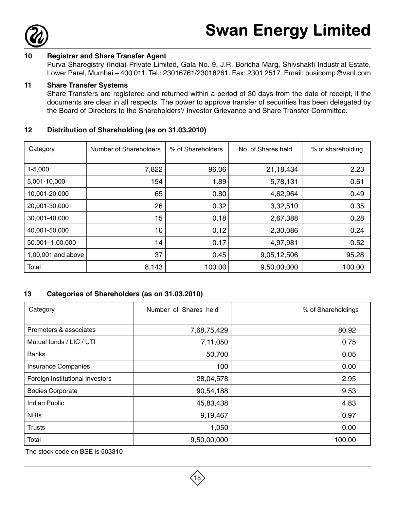

#### **10 Registrar and Share Transfer Agent**

Purva Sharegistry (India) Private Limited, Gala No. 9, J.R. Boricha Marg, Shivshakti Industrial Estate, Lower Parel, Mumbai – 400 011. Tel.: 23016761/23018261. Fax: 2301 2517. Email: busicomp@vsnl.com

#### **11 Share Transfer Systems**

Share Transfers are registered and returned within a period of 30 days from the date of receipt, if the documents are clear in all respects. The power to approve transfer of securities has been delegated by the Board of Directors to the Shareholders'/ Investor Grievance and Share Transfer Committee.

#### **12 Distribution of Shareholding (as on 31.03.2010)**

| Category           | Number of Shareholders | % of Shareholders | No. of Shares held<br>% of shareholding |        |
|--------------------|------------------------|-------------------|-----------------------------------------|--------|
|                    |                        |                   |                                         |        |
| $1 - 5,000$        | 7,822                  | 96.06             | 21,18,434                               | 2.23   |
| 5,001-10,000       | 154                    | 1.89              | 5,78,131                                | 0.61   |
| 10,001-20,000      | 65                     | 0.80              | 4,62,964                                | 0.49   |
| 20,001-30,000      | 26                     | 0.32              | 3,32,510                                | 0.35   |
| 30,001-40,000      | 15                     | 0.18              | 2,67,388                                | 0.28   |
| 40,001-50,000      | 10                     | 0.12              | 2,30,086                                | 0.24   |
| 50,001-1,00,000    | 14                     | 0.17              | 4,97,981                                | 0.52   |
| 1,00,001 and above | 37                     | 0.45              | 9,05,12,506                             | 95.28  |
| Total              | 8,143                  | 100.00            | 9,50,00,000                             | 100.00 |

#### **13 Categories of Shareholders (as on 31.03.2010)**

| Category                        | Number of Shares held | % of Shareholdings |
|---------------------------------|-----------------------|--------------------|
| Promoters & associates          | 7,68,75,429           | 80.92              |
| Mutual funds / LIC / UTI        | 7,11,050              | 0.75               |
| <b>Banks</b>                    | 50,700                | 0.05               |
| <b>Insurance Companies</b>      | 100                   | 0.00               |
| Foreign Institutional Investors | 28,04,578             | 2.95               |
| <b>Bodies Corporate</b>         | 90,54,188             | 9.53               |
| <b>Indian Public</b>            | 45,83,438             | 4.83               |
| <b>NRIS</b>                     | 9,19,467              | 0.97               |
| <b>Trusts</b>                   | 1,050                 | 0.00               |
| Total                           | 9,50,00,000           | 100.00             |

The stock code on BSE is 503310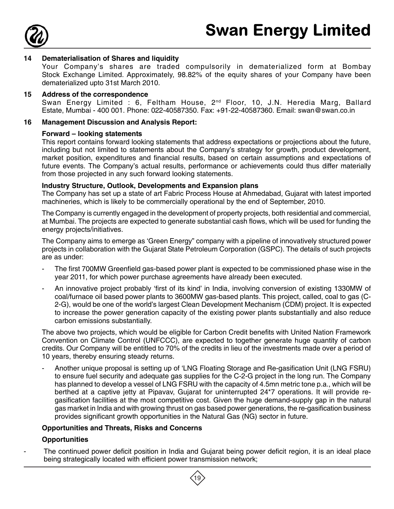

#### **14 Dematerialisation of Shares and liquidity**

Your Company's shares are traded compulsorily in dematerialized form at Bombay Stock Exchange Limited. Approximately, 98.82% of the equity shares of your Company have been dematerialized upto 31st March 2010.

#### **15 Address of the correspondence**

Swan Energy Limited : 6, Feltham House, 2<sup>nd</sup> Floor, 10, J.N. Heredia Marg, Ballard Estate, Mumbai - 400 001. Phone: 022-40587350. Fax: +91-22-40587360. Email: swan@swan.co.in

#### **16 Management Discussion and Analysis Report:**

#### **Forward – looking statements**

This report contains forward looking statements that address expectations or projections about the future, including but not limited to statements about the Company's strategy for growth, product development, market position, expenditures and financial results, based on certain assumptions and expectations of future events. The Company's actual results, performance or achievements could thus differ materially from those projected in any such forward looking statements.

#### **Industry Structure, Outlook, Developments and Expansion plans**

The Company has set up a state of art Fabric Process House at Ahmedabad, Gujarat with latest imported machineries, which is likely to be commercially operational by the end of September, 2010.

The Company is currently engaged in the development of property projects, both residential and commercial, at Mumbai. The projects are expected to generate substantial cash flows, which will be used for funding the energy projects/initiatives.

The Company aims to emerge as 'Green Energy" company with a pipeline of innovatively structured power projects in collaboration with the Gujarat State Petroleum Corporation (GSPC). The details of such projects are as under:

- The first 700MW Greenfield gas-based power plant is expected to be commissioned phase wise in the year 2011, for which power purchase agreements have already been executed.
- An innovative project probably 'first of its kind' in India, involving conversion of existing 1330MW of coal/furnace oil based power plants to 3600MW gas-based plants. This project, called, coal to gas (C-2-G), would be one of the world's largest Clean Development Mechanism (CDM) project. It is expected to increase the power generation capacity of the existing power plants substantially and also reduce carbon emissions substantially.

The above two projects, which would be eligible for Carbon Credit benefits with United Nation Framework Convention on Climate Control (UNFCCC), are expected to together generate huge quantity of carbon credits. Our Company will be entitled to 70% of the credits in lieu of the investments made over a period of 10 years, thereby ensuring steady returns.

- Another unique proposal is setting up of 'LNG Floating Storage and Re-gasification Unit (LNG FSRU) to ensure fuel security and adequate gas supplies for the C-2-G project in the long run. The Company has planned to develop a vessel of LNG FSRU with the capacity of 4.5mn metric tone p.a., which will be berthed at a captive jetty at Pipavav, Gujarat for uninterrupted 24\*7 operations. It will provide regasification facilities at the most competitive cost. Given the huge demand-supply gap in the natural gas market in India and with growing thrust on gas based power generations, the re-gasification business provides significant growth opportunities in the Natural Gas (NG) sector in future.

#### **Opportunities and Threats, Risks and Concerns**

#### **Opportunities**

The continued power deficit position in India and Gujarat being power deficit region, it is an ideal place being strategically located with efficient power transmission network;

19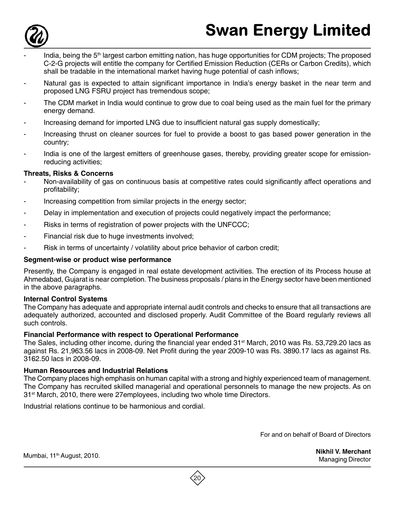

- India, being the 5<sup>th</sup> largest carbon emitting nation, has huge opportunities for CDM projects; The proposed C-2-G projects will entitle the company for Certified Emission Reduction (CERs or Carbon Credits), which shall be tradable in the international market having huge potential of cash inflows;
- Natural gas is expected to attain significant importance in India's energy basket in the near term and proposed LNG FSRU project has tremendous scope;
- The CDM market in India would continue to grow due to coal being used as the main fuel for the primary energy demand.
- Increasing demand for imported LNG due to insufficient natural gas supply domestically;
- Increasing thrust on cleaner sources for fuel to provide a boost to gas based power generation in the country;
- India is one of the largest emitters of greenhouse gases, thereby, providing greater scope for emissionreducing activities;

#### **Threats, Risks & Concerns**

- Non-availability of gas on continuous basis at competitive rates could significantly affect operations and profitability;
- Increasing competition from similar projects in the energy sector;
- Delay in implementation and execution of projects could negatively impact the performance;
- Risks in terms of registration of power projects with the UNFCCC;
- Financial risk due to huge investments involved;
- Risk in terms of uncertainty / volatility about price behavior of carbon credit;

#### **Segment-wise or product wise performance**

Presently, the Company is engaged in real estate development activities. The erection of its Process house at Ahmedabad, Gujarat is near completion. The business proposals / plans in the Energy sector have been mentioned in the above paragraphs.

#### **Internal Control Systems**

The Company has adequate and appropriate internal audit controls and checks to ensure that all transactions are adequately authorized, accounted and disclosed properly. Audit Committee of the Board regularly reviews all such controls.

#### **Financial Performance with respect to Operational Performance**

The Sales, including other income, during the financial year ended 31<sup>st</sup> March, 2010 was Rs. 53,729.20 lacs as against Rs. 21,963.56 lacs in 2008-09. Net Profit during the year 2009-10 was Rs. 3890.17 lacs as against Rs. 3162.50 lacs in 2008-09.

#### **Human Resources and Industrial Relations**

The Company places high emphasis on human capital with a strong and highly experienced team of management. The Company has recruited skilled managerial and operational personnels to manage the new projects. As on 31<sup>st</sup> March, 2010, there were 27employees, including two whole time Directors.

Industrial relations continue to be harmonious and cordial.

For and on behalf of Board of Directors

**Nikhil V. Merchant** Managing Director

Mumbai, 11<sup>th</sup> August, 2010.

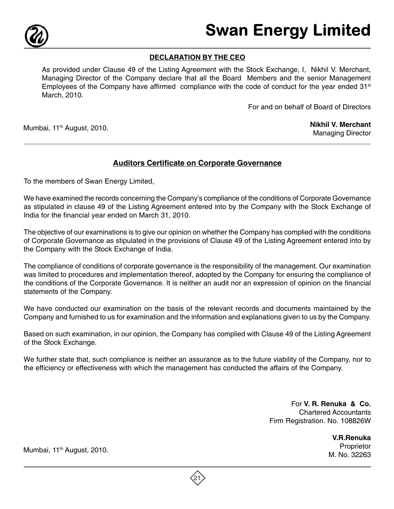

#### **DECLARATION BY THE CEO**

As provided under Clause 49 of the Listing Agreement with the Stock Exchange, I, Nikhil V. Merchant, Managing Director of the Company declare that all the Board Members and the senior Management Employees of the Company have affirmed compliance with the code of conduct for the year ended  $31<sup>st</sup>$ March, 2010.

For and on behalf of Board of Directors

Mumbai, 11<sup>th</sup> August, 2010.

#### **Nikhil V. Merchant** Managing Director

# **Auditors Certificate on Corporate Governance**

To the members of Swan Energy Limited,

We have examined the records concerning the Company's compliance of the conditions of Corporate Governance as stipulated in clause 49 of the Listing Agreement entered into by the Company with the Stock Exchange of India for the financial year ended on March 31, 2010.

The objective of our examinations is to give our opinion on whether the Company has complied with the conditions of Corporate Governance as stipulated in the provisions of Clause 49 of the Listing Agreement entered into by the Company with the Stock Exchange of India.

The compliance of conditions of corporate governance is the responsibility of the management. Our examination was limited to procedures and implementation thereof, adopted by the Company for ensuring the compliance of the conditions of the Corporate Governance. It is neither an audit nor an expression of opinion on the financial statements of the Company.

We have conducted our examination on the basis of the relevant records and documents maintained by the Company and furnished to us for examination and the information and explanations given to us by the Company.

Based on such examination, in our opinion, the Company has complied with Clause 49 of the Listing Agreement of the Stock Exchange.

We further state that, such compliance is neither an assurance as to the future viability of the Company, nor to the efficiency or effectiveness with which the management has conducted the affairs of the Company.

> For **V. R. Renuka & Co.** Chartered Accountants Firm Registration. No. 108826W

> > **V.R.Renuka** Proprietor M. No. 32263

Mumbai, 11<sup>th</sup> August, 2010.

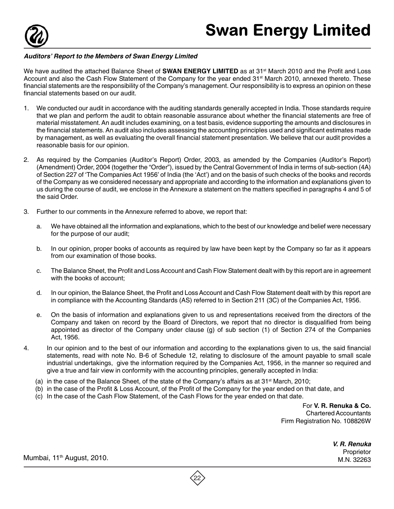

#### **Auditors' Report to the Members of Swan Energy Limited**

We have audited the attached Balance Sheet of **SWAN ENERGY LIMITED** as at 31<sup>st</sup> March 2010 and the Profit and Loss Account and also the Cash Flow Statement of the Company for the year ended 31<sup>st</sup> March 2010, annexed thereto. These financial statements are the responsibility of the Company's management. Our responsibility is to express an opinion on these financial statements based on our audit.

- 1. We conducted our audit in accordance with the auditing standards generally accepted in India. Those standards require that we plan and perform the audit to obtain reasonable assurance about whether the financial statements are free of material misstatement. An audit includes examining, on a test basis, evidence supporting the amounts and disclosures in the financial statements. An audit also includes assessing the accounting principles used and significant estimates made by management, as well as evaluating the overall financial statement presentation. We believe that our audit provides a reasonable basis for our opinion.
- 2. As required by the Companies (Auditor's Report) Order, 2003, as amended by the Companies (Auditor's Report) (Amendment) Order, 2004 (together the "Order"), issued by the Central Government of India in terms of sub-section (4A) of Section 227 of 'The Companies Act 1956' of India (the 'Act') and on the basis of such checks of the books and records of the Company as we considered necessary and appropriate and according to the information and explanations given to us during the course of audit, we enclose in the Annexure a statement on the matters specified in paragraphs 4 and 5 of the said Order.
- 3. Further to our comments in the Annexure referred to above, we report that:
	- a. We have obtained all the information and explanations, which to the best of our knowledge and belief were necessary for the purpose of our audit;
	- b. In our opinion, proper books of accounts as required by law have been kept by the Company so far as it appears from our examination of those books.
	- c. The Balance Sheet, the Profit and Loss Account and Cash Flow Statement dealt with by this report are in agreement with the books of account;
	- d. In our opinion, the Balance Sheet, the Profit and Loss Account and Cash Flow Statement dealt with by this report are in compliance with the Accounting Standards (AS) referred to in Section 211 (3C) of the Companies Act, 1956.
	- e. On the basis of information and explanations given to us and representations received from the directors of the Company and taken on record by the Board of Directors, we report that no director is disqualified from being appointed as director of the Company under clause (g) of sub section (1) of Section 274 of the Companies Act, 1956.
- 4. In our opinion and to the best of our information and according to the explanations given to us, the said financial statements, read with note No. B-6 of Schedule 12, relating to disclosure of the amount payable to small scale industrial undertakings, give the information required by the Companies Act, 1956, in the manner so required and give a true and fair view in conformity with the accounting principles, generally accepted in India:
	- (a) in the case of the Balance Sheet, of the state of the Company's affairs as at  $31<sup>st</sup>$  March, 2010;
	- (b) in the case of the Profit & Loss Account, of the Profit of the Company for the year ended on that date, and
	- (c) In the case of the Cash Flow Statement, of the Cash Flows for the year ended on that date.

For **V. R. Renuka & Co.** Chartered Accountants Firm Registration No. 108826W

**V. R. Renuka**

Proprietor Mumbai, 11<sup>th</sup> August, 2010.<br>M.N. 32263 . Mumbai, 11<sup>th</sup> August, 2010.

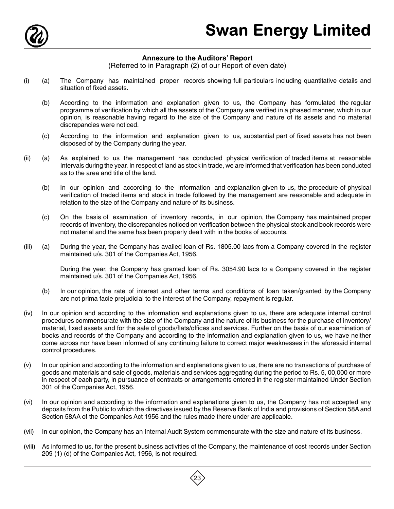

#### **Annexure to the Auditors' Report**

(Referred to in Paragraph (2) of our Report of even date)

- (i) (a) The Company has maintained proper records showing full particulars including quantitative details and situation of fixed assets.
	- (b) According to the information and explanation given to us, the Company has formulated the regular programme of verification by which all the assets of the Company are verified in a phased manner, which in our opinion, is reasonable having regard to the size of the Company and nature of its assets and no material discrepancies were noticed.
	- (c) According to the information and explanation given to us, substantial part of fixed assets has not been disposed of by the Company during the year.
- (ii) (a) As explained to us the management has conducted physical verification of traded items at reasonable Intervals during the year. In respect of land as stock in trade, we are informed that verification has been conducted as to the area and title of the land.
	- (b) In our opinion and according to the information and explanation given to us, the procedure of physical verification of traded items and stock in trade followed by the management are reasonable and adequate in relation to the size of the Company and nature of its business.
	- (c) On the basis of examination of inventory records, in our opinion, the Company has maintained proper records of inventory, the discrepancies noticed on verification between the physical stock and book records were not material and the same has been properly dealt with in the books of accounts.
- (iii) (a) During the year, the Company has availed loan of Rs. 1805.00 lacs from a Company covered in the register maintained u/s. 301 of the Companies Act, 1956.

During the year, the Company has granted loan of Rs. 3054.90 lacs to a Company covered in the register maintained u/s. 301 of the Companies Act, 1956.

- (b) In our opinion, the rate of interest and other terms and conditions of loan taken/granted by the Company are not prima facie prejudicial to the interest of the Company, repayment is regular.
- (iv) In our opinion and according to the information and explanations given to us, there are adequate internal control procedures commensurate with the size of the Company and the nature of its business for the purchase of inventory/ material, fixed assets and for the sale of goods/flats/offices and services. Further on the basis of our examination of books and records of the Company and according to the information and explanation given to us, we have neither come across nor have been informed of any continuing failure to correct major weaknesses in the aforesaid internal control procedures.
- (v) In our opinion and according to the information and explanations given to us, there are no transactions of purchase of goods and materials and sale of goods, materials and services aggregating during the period to Rs. 5, 00,000 or more in respect of each party, in pursuance of contracts or arrangements entered in the register maintained Under Section 301 of the Companies Act, 1956.
- (vi) In our opinion and according to the information and explanations given to us, the Company has not accepted any deposits from the Public to which the directives issued by the Reserve Bank of India and provisions of Section 58A and Section 58AA of the Companies Act 1956 and the rules made there under are applicable.
- (vii) In our opinion, the Company has an Internal Audit System commensurate with the size and nature of its business.
- (viii) As informed to us, for the present business activities of the Company, the maintenance of cost records under Section 209 (1) (d) of the Companies Act, 1956, is not required.

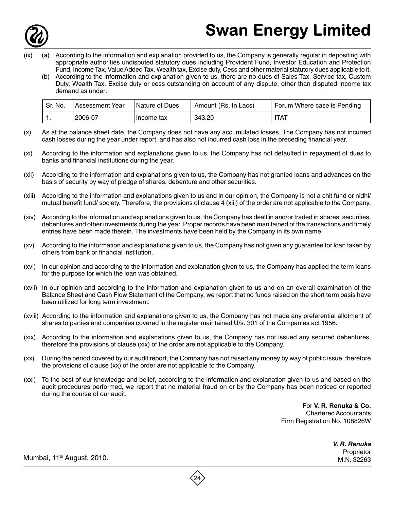

# Swan Energy Limited

- According to the information and explanation provided to us, the Company is generally regular in depositing with appropriate authorities undisputed statutory dues including Provident Fund, Investor Education and Protection Fund, Income Tax, Value Added Tax, Wealth tax, Excise duty, Cess and other material statutory dues applicable to it.
	- (b) According to the information and explanation given to us, there are no dues of Sales Tax, Service tax, Custom Duty, Wealth Tax, Excise duty or cess outstanding on account of any dispute, other than disputed Income tax demand as under:

| ' Sr. No. | Assessment Year | <b>Nature of Dues</b> | Amount (Rs. In Lacs) | Forum Where case is Pending |
|-----------|-----------------|-----------------------|----------------------|-----------------------------|
|           | .2006-07        | Income tax            | 343.20               | TAT                         |

- (x) As at the balance sheet date, the Company does not have any accumulated losses. The Company has not incurred cash losses during the year under report, and has also not incurred cash loss in the preceding financial year.
- (xi) According to the information and explanations given to us, the Company has not defaulted in repayment of dues to banks and financial institutions during the year.
- (xii) According to the information and explanations given to us, the Company has not granted loans and advances on the basis of security by way of pledge of shares, debenture and other securities.
- (xiii) According to the information and explanations given to us and in our opinion, the Company is not a chit fund or nidhi/ mutual benefit fund/ society. Therefore, the provisions of clause 4 (xiii) of the order are not applicable to the Company.
- (xiv) According to the information and explanations given to us, the Company has dealt in and/or traded in shares, securities, debentures and other investments during the year. Proper records have been manitained of the transactions and timely entries have been made therein. The investments have been held by the Company in its own name.
- (xv) According to the information and explanations given to us, the Company has not given any guarantee for loan taken by others from bank or financial institution.
- (xvi) In our opinion and according to the information and explanation given to us, the Company has applied the term loans for the purpose for which the loan was obtained.
- (xvii) In our opinion and according to the information and explanation given to us and on an overall examination of the Balance Sheet and Cash Flow Statement of the Company, we report that no funds raised on the short term basis have been utilized for long term investment.
- (xviii) According to the information and explanations given to us, the Company has not made any preferential allotment of shares to parties and companies covered in the register maintained U/s. 301 of the Companies act 1956.
- (xix) According to the information and explanations given to us, the Company has not issued any secured debentures, therefore the provisions of clause (xix) of the order are not applicable to the Company.
- (xx) During the period covered by our audit report, the Company has not raised any money by way of public issue, therefore the provisions of clause (xx) of the order are not applicable to the Company.
- (xxi) To the best of our knowledge and belief, according to the information and explanation given to us and based on the audit procedures performed, we report that no material fraud on or by the Company has been noticed or reported during the course of our audit.

For **V. R. Renuka & Co.** Chartered Accountants Firm Registration No. 108826W

**V. R. Renuka**

Proprietor Mumbai, 11<sup>th</sup> August, 2010.<br>M.N. 32263 .M.N. 32263

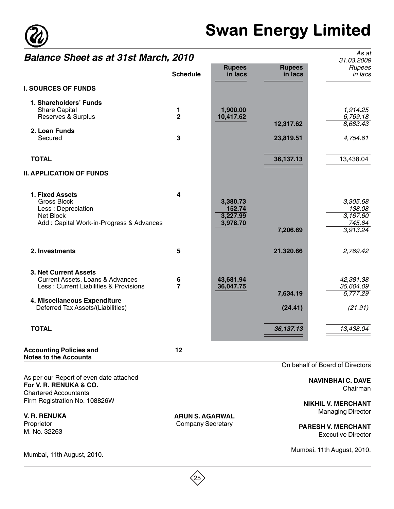

# Swan Energy Limited

As at

# **Balance Sheet as at 31st March, 2010**

| <b>Dalafice Stieet as at 31St March, 2010</b>                                                                                                                                       |                     |                                            |                          | 31.03.2009                                           |
|-------------------------------------------------------------------------------------------------------------------------------------------------------------------------------------|---------------------|--------------------------------------------|--------------------------|------------------------------------------------------|
|                                                                                                                                                                                     | <b>Schedule</b>     | <b>Rupees</b><br>in lacs                   | <b>Rupees</b><br>in lacs | Rupees<br>in lacs                                    |
| <b>I. SOURCES OF FUNDS</b>                                                                                                                                                          |                     |                                            |                          |                                                      |
| 1. Shareholders' Funds<br><b>Share Capital</b><br>Reserves & Surplus                                                                                                                | 1<br>$\overline{2}$ | 1,900.00<br>10,417.62                      |                          | 1,914.25<br>6,769.18                                 |
| 2. Loan Funds                                                                                                                                                                       |                     |                                            | 12,317.62                | 8,683.43                                             |
| Secured                                                                                                                                                                             | 3                   |                                            | 23,819.51                | 4,754.61                                             |
| <b>TOTAL</b>                                                                                                                                                                        |                     |                                            | 36,137.13                | 13,438.04                                            |
| <b>II. APPLICATION OF FUNDS</b>                                                                                                                                                     |                     |                                            |                          |                                                      |
| 1. Fixed Assets<br><b>Gross Block</b><br>Less : Depreciation<br>Net Block<br>Add: Capital Work-in-Progress & Advances                                                               | 4                   | 3,380.73<br>152.74<br>3,227.99<br>3,978.70 | 7,206.69                 | 3,305.68<br>138.08<br>3,167.60<br>745.64<br>3,913.24 |
| 2. Investments                                                                                                                                                                      | 5                   |                                            | 21,320.66                | 2,769.42                                             |
| 3. Net Current Assets<br><b>Current Assets, Loans &amp; Advances</b><br>Less: Current Liabilities & Provisions<br>4. Miscellaneous Expenditure<br>Deferred Tax Assets/(Liabilities) | 6<br>$\overline{7}$ | 43,681.94<br>36,047.75                     | 7,634.19<br>(24.41)      | 42,381.38<br>35,604.09<br>6,777.29<br>(21.91)        |
| <b>TOTAL</b>                                                                                                                                                                        |                     |                                            | 36,137.13                | 13,438.04                                            |
| <b>Accounting Policies and</b><br><b>Notes to the Accounts</b>                                                                                                                      | 12                  |                                            |                          |                                                      |
|                                                                                                                                                                                     |                     |                                            |                          | On behalf of Board of Directors                      |

As per our Report of even date attached **For V. R. RENUKA & CO.** Chartered Accountants Firm Registration No. 108826W

**V. R. RENUKA** Proprietor M. No. 32263

Mumbai, 11th August, 2010.

**ARUN S. AGARWAL** Company Secretary

On behalf of Board of Directors

**NAVINBHAI C. DAVE** Chairman

**NIKHIL V. MERCHANT** Managing Director

**PARESH V. MERCHANT** Executive Director

Mumbai, 11th August, 2010.

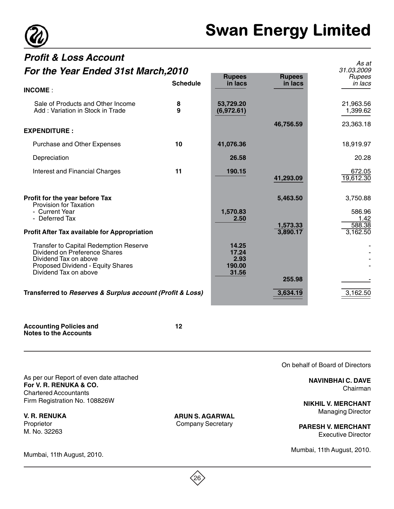

As at

# **Profit & Loss Account For the Year Ended 31st March,2010**

| For the Year Ended 31st March, 2010                                                                                                                                          |                 |                                           | 31.03.2009               |                            |
|------------------------------------------------------------------------------------------------------------------------------------------------------------------------------|-----------------|-------------------------------------------|--------------------------|----------------------------|
|                                                                                                                                                                              | <b>Schedule</b> | <b>Rupees</b><br>in lacs                  | <b>Rupees</b><br>in lacs | Rupees<br>in lacs          |
| <b>INCOME:</b>                                                                                                                                                               |                 |                                           |                          |                            |
| Sale of Products and Other Income<br>Add: Variation in Stock in Trade                                                                                                        | 8<br>9          | 53,729.20<br>(6,972.61)                   |                          | 21,963.56<br>1,399.62      |
| <b>EXPENDITURE:</b>                                                                                                                                                          |                 |                                           | 46,756.59                | 23,363.18                  |
| <b>Purchase and Other Expenses</b>                                                                                                                                           | 10              | 41,076.36                                 |                          | 18,919.97                  |
| Depreciation                                                                                                                                                                 |                 | 26.58                                     |                          | 20.28                      |
| Interest and Financial Charges                                                                                                                                               | 11              | 190.15                                    | 41,293.09                | 672.05<br>19,612.30        |
| Profit for the year before Tax<br>Provision for Taxation<br>- Current Year<br>- Deferred Tax                                                                                 |                 | 1,570.83<br>2.50                          | 5,463.50                 | 3,750.88<br>586.96<br>1.42 |
| <b>Profit After Tax available for Appropriation</b>                                                                                                                          |                 |                                           | 1,573.33<br>3,890.17     | 588.38<br>3,162.50         |
| <b>Transfer to Capital Redemption Reserve</b><br>Dividend on Preference Shares<br>Dividend Tax on above<br><b>Proposed Dividend - Equity Shares</b><br>Dividend Tax on above |                 | 14.25<br>17.24<br>2.93<br>190.00<br>31.56 | 255.98                   |                            |
| Transferred to Reserves & Surplus account (Profit & Loss)                                                                                                                    |                 |                                           | 3,634.19                 | 3,162.50                   |

**Accounting Policies and 12 Notes to the Accounts**

As per our Report of even date attached **For V. R. RENUKA & CO.** Chartered Accountants Firm Registration No. 108826W

**V. R. RENUKA** Proprietor M. No. 32263

Mumbai, 11th August, 2010.

**ARUN S. AGARWAL** Company Secretary

On behalf of Board of Directors

**NAVINBHAI C. DAVE** Chairman

**NIKHIL V. MERCHANT** Managing Director

**PARESH V. MERCHANT** Executive Director

Mumbai, 11th August, 2010.

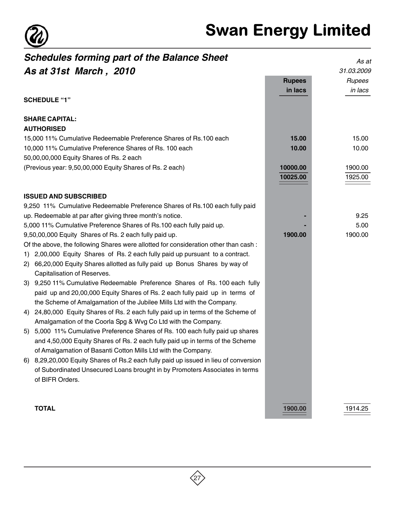

|    | <b>Schedules forming part of the Balance Sheet</b>                                  |               | As at      |
|----|-------------------------------------------------------------------------------------|---------------|------------|
|    | As at 31st March, 2010                                                              |               | 31.03.2009 |
|    |                                                                                     | <b>Rupees</b> | Rupees     |
|    |                                                                                     | in lacs       | in lacs    |
|    | <b>SCHEDULE "1"</b>                                                                 |               |            |
|    | <b>SHARE CAPITAL:</b>                                                               |               |            |
|    | <b>AUTHORISED</b>                                                                   |               |            |
|    | 15,000 11% Cumulative Redeemable Preference Shares of Rs.100 each                   | 15.00         | 15.00      |
|    | 10,000 11% Cumulative Preference Shares of Rs. 100 each                             | 10.00         | 10.00      |
|    | 50,00,00,000 Equity Shares of Rs. 2 each                                            |               |            |
|    | (Previous year: 9,50,00,000 Equity Shares of Rs. 2 each)                            | 10000.00      | 1900.00    |
|    |                                                                                     | 10025.00      | 1925.00    |
|    | <b>ISSUED AND SUBSCRIBED</b>                                                        |               |            |
|    | 9,250 11% Cumulative Redeemable Preference Shares of Rs.100 each fully paid         |               |            |
|    | up. Redeemable at par after giving three month's notice.                            |               | 9.25       |
|    | 5,000 11% Cumulative Preference Shares of Rs.100 each fully paid up.                |               | 5.00       |
|    | 9,50,00,000 Equity Shares of Rs. 2 each fully paid up.                              | 1900.00       | 1900.00    |
|    | Of the above, the following Shares were allotted for consideration other than cash: |               |            |
| 1) | 2,00,000 Equity Shares of Rs. 2 each fully paid up pursuant to a contract.          |               |            |
| 2) | 66,20,000 Equity Shares allotted as fully paid up Bonus Shares by way of            |               |            |
|    | Capitalisation of Reserves.                                                         |               |            |
|    | 3) 9,250 11% Cumulative Redeemable Preference Shares of Rs. 100 each fully          |               |            |
|    | paid up and 20,00,000 Equity Shares of Rs. 2 each fully paid up in terms of         |               |            |
|    | the Scheme of Amalgamation of the Jubilee Mills Ltd with the Company.               |               |            |
| 4) | 24,80,000 Equity Shares of Rs. 2 each fully paid up in terms of the Scheme of       |               |            |
|    | Amalgamation of the Coorla Spg & Wvg Co Ltd with the Company.                       |               |            |
| 5) | 5,000 11% Cumulative Preference Shares of Rs. 100 each fully paid up shares         |               |            |
|    | and 4,50,000 Equity Shares of Rs. 2 each fully paid up in terms of the Scheme       |               |            |
|    | of Amalgamation of Basanti Cotton Mills Ltd with the Company.                       |               |            |
| 6) | 8,29,20,000 Equity Shares of Rs.2 each fully paid up issued in lieu of conversion   |               |            |
|    | of Subordinated Unsecured Loans brought in by Promoters Associates in terms         |               |            |
|    | of BIFR Orders.                                                                     |               |            |
|    |                                                                                     |               |            |
|    | <b>TOTAL</b>                                                                        | 1900.00       | 1914.25    |

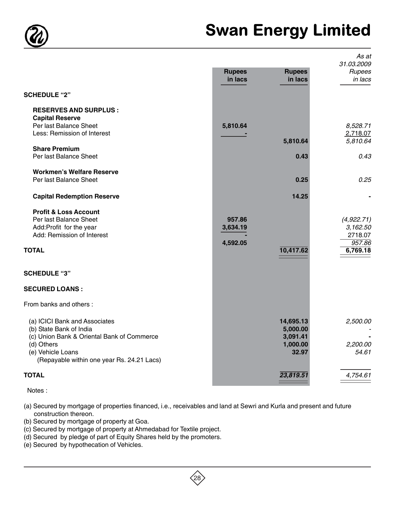

# Swan Energy Limited

|                                                                                                                                                                                         | <b>Rupees</b><br>in lacs       | <b>Rupees</b><br>in lacs                               | As at<br>31.03.2009<br>Rupees<br>in lacs                |
|-----------------------------------------------------------------------------------------------------------------------------------------------------------------------------------------|--------------------------------|--------------------------------------------------------|---------------------------------------------------------|
| <b>SCHEDULE "2"</b>                                                                                                                                                                     |                                |                                                        |                                                         |
| <b>RESERVES AND SURPLUS:</b><br><b>Capital Reserve</b><br>Per last Balance Sheet<br>Less: Remission of Interest<br><b>Share Premium</b><br>Per last Balance Sheet                       | 5,810.64                       | 5,810.64<br>0.43                                       | 8,528.71<br>2,718.07<br>5,810.64<br>0.43                |
| <b>Workmen's Welfare Reserve</b><br>Per last Balance Sheet                                                                                                                              |                                | 0.25                                                   | 0.25                                                    |
| <b>Capital Redemption Reserve</b>                                                                                                                                                       |                                | 14.25                                                  |                                                         |
| <b>Profit &amp; Loss Account</b><br>Per last Balance Sheet<br>Add:Profit for the year<br>Add: Remission of Interest<br><b>TOTAL</b>                                                     | 957.86<br>3,634.19<br>4,592.05 | 10,417.62                                              | (4,922.71)<br>3,162.50<br>2718.07<br>957.86<br>6,769.18 |
| <b>SCHEDULE "3"</b>                                                                                                                                                                     |                                |                                                        |                                                         |
| <b>SECURED LOANS:</b>                                                                                                                                                                   |                                |                                                        |                                                         |
| From banks and others:                                                                                                                                                                  |                                |                                                        |                                                         |
| (a) ICICI Bank and Associates<br>(b) State Bank of India<br>(c) Union Bank & Oriental Bank of Commerce<br>(d) Others<br>(e) Vehicle Loans<br>(Repayable within one year Rs. 24.21 Lacs) |                                | 14,695.13<br>5,000.00<br>3,091.41<br>1,000.00<br>32.97 | 2,500.00<br>2,200.00<br>54.61                           |
| <b>TOTAL</b>                                                                                                                                                                            |                                | 23,819.51                                              | 4,754.61                                                |

Notes :

(a) Secured by mortgage of properties financed, i.e., receivables and land at Sewri and Kurla and present and future construction thereon.

- (b) Secured by mortgage of property at Goa.
- (c) Secured by mortgage of property at Ahmedabad for Textile project.
- (d) Secured by pledge of part of Equity Shares held by the promoters.
- (e) Secured by hypothecation of Vehicles.

 $(28)$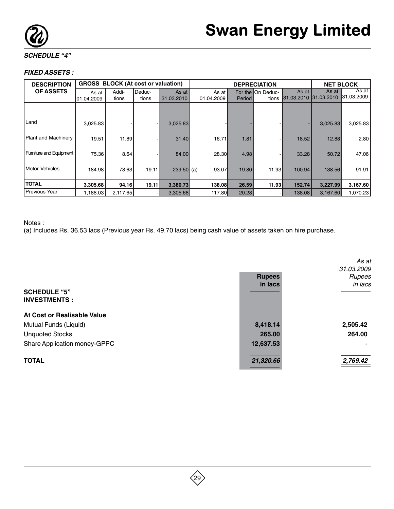

#### **SCHEDULE "4"**

#### **FIXED ASSETS :**

| <b>DESCRIPTION</b>     | <b>GROSS BLOCK (At cost or valuation)</b> |                |                 |                     | <b>NET BLOCK</b><br><b>DEPRECIATION</b> |        |                             |        |                                |                     |
|------------------------|-------------------------------------------|----------------|-----------------|---------------------|-----------------------------------------|--------|-----------------------------|--------|--------------------------------|---------------------|
| <b>OF ASSETS</b>       | As at<br>101.04.2009                      | Addi-<br>tions | Deduc-<br>tions | As at<br>31.03.2010 | As at l<br>01.04.2009                   | Period | For the IOn Deduc-<br>tions | As at  | As at<br>31.03.2010 31.03.2010 | As at<br>31.03.2009 |
|                        |                                           |                |                 |                     |                                         |        |                             |        |                                |                     |
| Land                   | 3,025.83                                  |                |                 | 3,025.83            |                                         |        |                             |        | 3,025.83                       | 3,025.83            |
| Plant and Machinery    | 19.51                                     | 11.89          |                 | 31.40               | 16.71                                   | 1.81   |                             | 18.52  | 12.88                          | 2.80                |
| Fumiture and Equipment | 75.36                                     | 8.64           |                 | 84.00               | <b>28.30</b>                            | 4.98   |                             | 33.28  | 50.72                          | 47.06               |
| <b>Motor Vehicles</b>  | 184.98                                    | 73.63          | 19.11           | $239.50$ (a)        | 93.07                                   | 19.80  | 11.93                       | 100.94 | 138.56                         | 91.91               |
| <b>TOTAL</b>           | 3,305.68                                  | 94.16          | 19.11           | 3,380.73            | 138.081                                 | 26.59  | 11.93                       | 152.74 | 3,227.99                       | 3,167.60            |
| Previous Year          | 1,188.03                                  | 2,117.65       |                 | 3,305.68            | 117.80                                  | 20.28  |                             | 138.08 | 3,167.60                       | 1,070.23            |

#### Notes :

(a) Includes Rs. 36.53 lacs (Previous year Rs. 49.70 lacs) being cash value of assets taken on hire purchase.

|                              |               | As at<br>31.03.2009 |
|------------------------------|---------------|---------------------|
|                              | <b>Rupees</b> | Rupees              |
| <b>SCHEDULE "5"</b>          | in lacs       | in lacs             |
| <b>INVESTMENTS:</b>          |               |                     |
| At Cost or Realisable Value  |               |                     |
| Mutual Funds (Liquid)        | 8,418.14      | 2,505.42            |
| <b>Unquoted Stocks</b>       | 265.00        | 264.00              |
| Share Application money-GPPC | 12,637.53     |                     |
| <b>TOTAL</b>                 | 21,320.66     | 2,769.42            |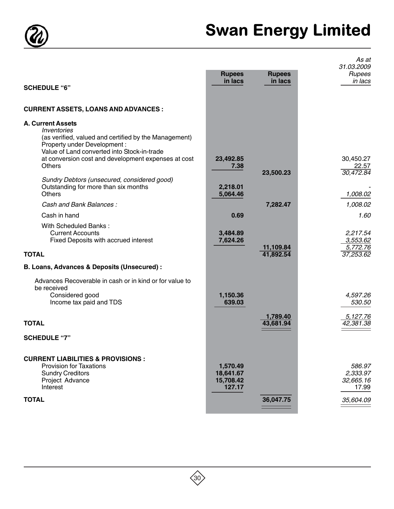

# Swan Energy Limited

|                                                                                                                                                                                              |                                              |                          | As at<br>31.03.2009                      |
|----------------------------------------------------------------------------------------------------------------------------------------------------------------------------------------------|----------------------------------------------|--------------------------|------------------------------------------|
|                                                                                                                                                                                              | <b>Rupees</b><br>in lacs                     | <b>Rupees</b><br>in lacs | Rupees<br>in lacs                        |
| <b>SCHEDULE "6"</b>                                                                                                                                                                          |                                              |                          |                                          |
| <b>CURRENT ASSETS, LOANS AND ADVANCES :</b>                                                                                                                                                  |                                              |                          |                                          |
| <b>A. Current Assets</b><br><i><b>Inventories</b></i><br>(as verified, valued and certified by the Management)<br>Property under Development:<br>Value of Land converted into Stock-in-trade |                                              |                          |                                          |
| at conversion cost and development expenses at cost<br>Others                                                                                                                                | 23,492.85<br>7.38                            |                          | 30,450.27<br>22.57                       |
| Sundry Debtors (unsecured, considered good)<br>Outstanding for more than six months<br>Others                                                                                                | 2,218.01<br>5,064.46                         | 23,500.23                | 30,472.84<br>1,008.02                    |
| Cash and Bank Balances:                                                                                                                                                                      |                                              | 7,282.47                 | 1,008.02                                 |
| Cash in hand                                                                                                                                                                                 | 0.69                                         |                          | 1.60                                     |
| With Scheduled Banks:<br><b>Current Accounts</b><br>Fixed Deposits with accrued interest                                                                                                     | 3,484.89<br>7,624.26                         | 11,109.84                | 2,217.54<br>3,553.62<br>5,772.76         |
| <b>TOTAL</b>                                                                                                                                                                                 |                                              | 41,892.54                | 37,253.62                                |
| B. Loans, Advances & Deposits (Unsecured) :                                                                                                                                                  |                                              |                          |                                          |
| Advances Recoverable in cash or in kind or for value to<br>be received<br>Considered good<br>Income tax paid and TDS                                                                         | 1,150.36<br>639.03                           |                          | 4,597.26<br>530.50                       |
|                                                                                                                                                                                              |                                              | 1,789.40                 | 5,127.76                                 |
| <b>TOTAL</b>                                                                                                                                                                                 |                                              | 43,681.94                | 42,381.38                                |
| <b>SCHEDULE "7"</b>                                                                                                                                                                          |                                              |                          |                                          |
| <b>CURRENT LIABILITIES &amp; PROVISIONS :</b><br><b>Provision for Taxations</b><br><b>Sundry Creditors</b><br>Project Advance<br>Interest                                                    | 1,570.49<br>18,641.67<br>15,708.42<br>127.17 |                          | 586.97<br>2,333.97<br>32,665.16<br>17.99 |
| <b>TOTAL</b>                                                                                                                                                                                 |                                              | 36,047.75                | 35,604.09                                |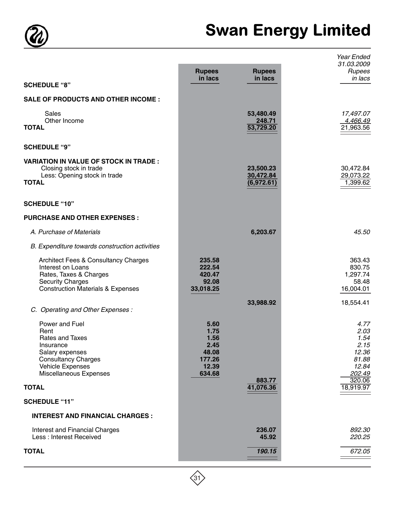

# Swan Energy Limited

| <b>SCHEDULE "8"</b>                                                                                                                                                       | <b>Rupees</b><br>in lacs                                           | <b>Rupees</b><br>in lacs             | Year Ended<br>31.03.2009<br>Rupees<br>in lacs                               |
|---------------------------------------------------------------------------------------------------------------------------------------------------------------------------|--------------------------------------------------------------------|--------------------------------------|-----------------------------------------------------------------------------|
|                                                                                                                                                                           |                                                                    |                                      |                                                                             |
| <b>SALE OF PRODUCTS AND OTHER INCOME:</b>                                                                                                                                 |                                                                    |                                      |                                                                             |
| <b>Sales</b><br>Other Income<br><b>TOTAL</b>                                                                                                                              |                                                                    | 53,480.49<br>248.71<br>53,729.20     | 17,497.07<br>4,466.49<br>21,963.56                                          |
| <b>SCHEDULE "9"</b>                                                                                                                                                       |                                                                    |                                      |                                                                             |
| <b>VARIATION IN VALUE OF STOCK IN TRADE:</b><br>Closing stock in trade<br>Less: Opening stock in trade<br><b>TOTAL</b>                                                    |                                                                    | 23,500.23<br>30,472.84<br>(6,972.61) | 30,472.84<br>29,073.22<br>1,399.62                                          |
| <b>SCHEDULE "10"</b>                                                                                                                                                      |                                                                    |                                      |                                                                             |
| <b>PURCHASE AND OTHER EXPENSES:</b>                                                                                                                                       |                                                                    |                                      |                                                                             |
| A. Purchase of Materials                                                                                                                                                  |                                                                    | 6,203.67                             | 45.50                                                                       |
| B. Expenditure towards construction activities                                                                                                                            |                                                                    |                                      |                                                                             |
| <b>Architect Fees &amp; Consultancy Charges</b><br>Interest on Loans<br>Rates, Taxes & Charges<br><b>Security Charges</b><br><b>Construction Materials &amp; Expenses</b> | 235.58<br>222.54<br>420.47<br>92.08<br>33,018.25                   |                                      | 363.43<br>830.75<br>1,297.74<br>58.48<br>16,004.01                          |
| C. Operating and Other Expenses :                                                                                                                                         |                                                                    | 33,988.92                            | 18,554.41                                                                   |
| Power and Fuel<br>Rent<br>Rates and Taxes<br>Insurance<br>Salary expenses<br><b>Consultancy Charges</b><br>Vehicle Expenses<br>Miscellaneous Expenses                     | 5.60<br>1.75<br>1.56<br>2.45<br>48.08<br>177.26<br>12.39<br>634.68 | 883.77                               | 4.77<br>2.03<br>1.54<br>2.15<br>12.36<br>81.88<br>12.84<br>202.49<br>320.06 |
| <b>TOTAL</b>                                                                                                                                                              |                                                                    | 41,076.36                            | 18,919.97                                                                   |
| <b>SCHEDULE "11"</b>                                                                                                                                                      |                                                                    |                                      |                                                                             |
| <b>INTEREST AND FINANCIAL CHARGES:</b>                                                                                                                                    |                                                                    |                                      |                                                                             |
| Interest and Financial Charges<br>Less: Interest Received                                                                                                                 |                                                                    | 236.07<br>45.92                      | 892.30<br>220.25                                                            |
| <b>TOTAL</b>                                                                                                                                                              |                                                                    | 190.15                               | 672.05                                                                      |

 $\overline{\bigotimes}$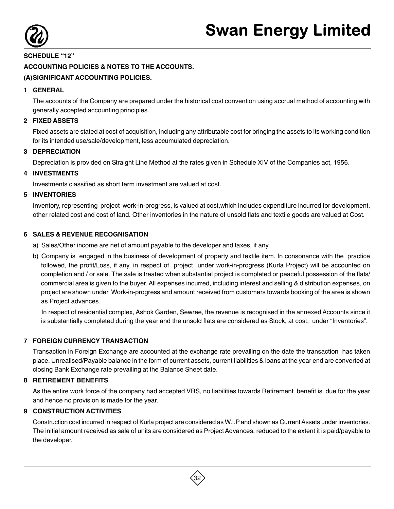

# **SCHEDULE "12" ACCOUNTING POLICIES & NOTES TO THE ACCOUNTS.**

### **(A)SIGNIFICANT ACCOUNTING POLICIES.**

#### **1 GENERAL**

The accounts of the Company are prepared under the historical cost convention using accrual method of accounting with generally accepted accounting principles.

#### **2 FIXED ASSETS**

Fixed assets are stated at cost of acquisition, including any attributable cost for bringing the assets to its working condition for its intended use/sale/development, less accumulated depreciation.

#### **3 DEPRECIATION**

Depreciation is provided on Straight Line Method at the rates given in Schedule XIV of the Companies act, 1956.

#### **4 INVESTMENTS**

Investments classified as short term investment are valued at cost.

#### **5 INVENTORIES**

Inventory, representing project work-in-progress, is valued at cost,which includes expenditure incurred for development, other related cost and cost of land. Other inventories in the nature of unsold flats and textile goods are valued at Cost.

#### **6 SALES & REVENUE RECOGNISATION**

- a) Sales/Other income are net of amount payable to the developer and taxes, if any.
- b) Company is engaged in the business of development of property and textile item. In consonance with the practice followed, the profit/Loss, if any, in respect of project under work-in-progress (Kurla Project) will be accounted on completion and / or sale. The sale is treated when substantial project is completed or peaceful possession of the flats/ commercial area is given to the buyer. All expenses incurred, including interest and selling & distribution expenses, on project are shown under Work-in-progress and amount received from customers towards booking of the area is shown as Project advances.

In respect of residential complex, Ashok Garden, Sewree, the revenue is recognised in the annexed Accounts since it is substantially completed during the year and the unsold flats are considered as Stock, at cost, under "Inventories".

#### **7 FOREIGN CURRENCY TRANSACTION**

Transaction in Foreign Exchange are accounted at the exchange rate prevailing on the date the transaction has taken place. Unrealised/Payable balance in the form of current assets, current liabilities & loans at the year end are converted at closing Bank Exchange rate prevailing at the Balance Sheet date.

#### **8 RETIREMENT BENEFITS**

As the entire work force of the company had accepted VRS, no liabilities towards Retirement benefit is due for the year and hence no provision is made for the year.

#### **9 CONSTRUCTION ACTIVITIES**

Construction cost incurred in respect of Kurla project are considered as W.I.P and shown as Current Assets under inventories. The initial amount received as sale of units are considered as Project Advances, reduced to the extent it is paid/payable to the developer.

32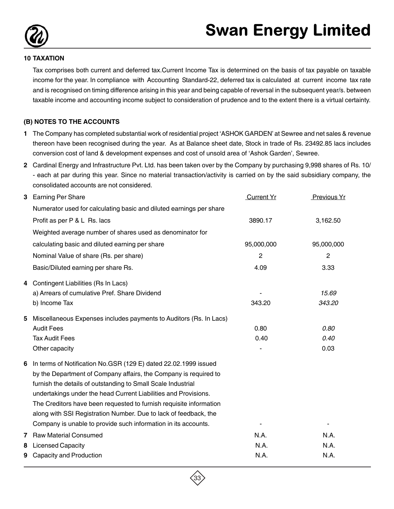

#### **10 TAXATION**

Tax comprises both current and deferred tax.Current Income Tax is determined on the basis of tax payable on taxable income for the year. In compliance with Accounting Standard-22, deferred tax is calculated at current income tax rate and is recognised on timing difference arising in this year and being capable of reversal in the subsequent year/s. between taxable income and accounting income subject to consideration of prudence and to the extent there is a virtual certainty.

#### **(B) NOTES TO THE ACCOUNTS**

- **1** The Company has completed substantial work of residential project 'ASHOK GARDEN' at Sewree and net sales & revenue thereon have been recognised during the year. As at Balance sheet date, Stock in trade of Rs. 23492.85 lacs includes conversion cost of land & development expenses and cost of unsold area of 'Ashok Garden', Sewree.
- **2** Cardinal Energy and Infrastructure Pvt. Ltd. has been taken over by the Company by purchasing 9,998 shares of Rs. 10/ - each at par during this year. Since no material transaction/activity is carried on by the said subsidiary company, the consolidated accounts are not considered.

| 3 | <b>Earning Per Share</b>                                            | <b>Current Yr</b> | Previous Yr  |
|---|---------------------------------------------------------------------|-------------------|--------------|
|   | Numerator used for calculating basic and diluted earnings per share |                   |              |
|   | Profit as per P & L Rs. lacs                                        | 3890.17           | 3,162.50     |
|   | Weighted average number of shares used as denominator for           |                   |              |
|   | calculating basic and diluted earning per share                     | 95,000,000        | 95,000,000   |
|   | Nominal Value of share (Rs. per share)                              | $\overline{c}$    | $\mathbf{2}$ |
|   | Basic/Diluted earning per share Rs.                                 | 4.09              | 3.33         |
| 4 | Contingent Liabilities (Rs In Lacs)                                 |                   |              |
|   | a) Arrears of cumulative Pref. Share Dividend                       |                   | 15.69        |
|   | b) Income Tax                                                       | 343.20            | 343.20       |
| 5 | Miscellaneous Expenses includes payments to Auditors (Rs. In Lacs)  |                   |              |
|   | <b>Audit Fees</b>                                                   | 0.80              | 0.80         |
|   | <b>Tax Audit Fees</b>                                               | 0.40              | 0.40         |
|   | Other capacity                                                      |                   | 0.03         |
| 6 | In terms of Notification No.GSR (129 E) dated 22.02.1999 issued     |                   |              |
|   | by the Department of Company affairs, the Company is required to    |                   |              |
|   | furnish the details of outstanding to Small Scale Industrial        |                   |              |
|   | undertakings under the head Current Liabilities and Provisions.     |                   |              |
|   | The Creditors have been requested to furnish requisite information  |                   |              |
|   | along with SSI Registration Number. Due to lack of feedback, the    |                   |              |
|   | Company is unable to provide such information in its accounts.      |                   |              |
| 7 | <b>Raw Material Consumed</b>                                        | N.A.              | N.A.         |
| 8 | <b>Licensed Capacity</b>                                            | N.A.              | N.A.         |
| 9 | Capacity and Production                                             | N.A.              | N.A.         |

33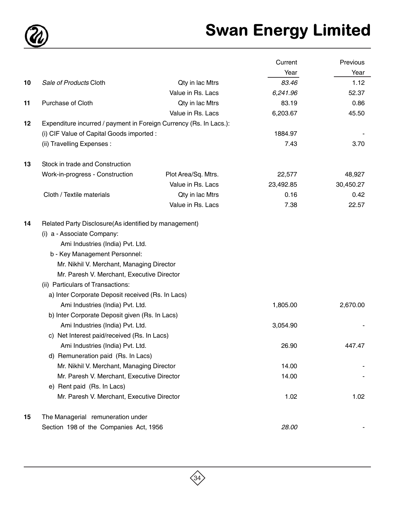

# Swan Energy Limited

|    |                                                                                                                                                                                                   |                     | Current   | Previous  |
|----|---------------------------------------------------------------------------------------------------------------------------------------------------------------------------------------------------|---------------------|-----------|-----------|
|    |                                                                                                                                                                                                   |                     | Year      | Year      |
| 10 | Sale of Products Cloth                                                                                                                                                                            | Qty in lac Mtrs     | 83.46     | 1.12      |
|    |                                                                                                                                                                                                   | Value in Rs. Lacs   | 6,241.96  | 52.37     |
| 11 | Purchase of Cloth                                                                                                                                                                                 | Qty in lac Mtrs     | 83.19     | 0.86      |
|    |                                                                                                                                                                                                   | Value in Rs. Lacs   | 6,203.67  | 45.50     |
| 12 | Expenditure incurred / payment in Foreign Currency (Rs. In Lacs.):                                                                                                                                |                     |           |           |
|    | (i) CIF Value of Capital Goods imported :                                                                                                                                                         |                     | 1884.97   |           |
|    | (ii) Travelling Expenses :                                                                                                                                                                        |                     | 7.43      | 3.70      |
| 13 | Stock in trade and Construction                                                                                                                                                                   |                     |           |           |
|    | Work-in-progress - Construction                                                                                                                                                                   | Plot Area/Sq. Mtrs. | 22,577    | 48,927    |
|    |                                                                                                                                                                                                   | Value in Rs. Lacs   | 23,492.85 | 30,450.27 |
|    | Cloth / Textile materials                                                                                                                                                                         | Qty in lac Mtrs     | 0.16      | 0.42      |
|    |                                                                                                                                                                                                   | Value in Rs. Lacs   | 7.38      | 22.57     |
|    | Ami Industries (India) Pvt. Ltd.<br>b - Key Management Personnel:<br>Mr. Nikhil V. Merchant, Managing Director<br>Mr. Paresh V. Merchant, Executive Director<br>(ii) Particulars of Transactions: |                     |           |           |
|    | a) Inter Corporate Deposit received (Rs. In Lacs)                                                                                                                                                 |                     |           |           |
|    | Ami Industries (India) Pvt. Ltd.<br>b) Inter Corporate Deposit given (Rs. In Lacs)                                                                                                                |                     | 1,805.00  | 2,670.00  |
|    | Ami Industries (India) Pvt. Ltd.                                                                                                                                                                  |                     | 3,054.90  |           |
|    | c) Net Interest paid/received (Rs. In Lacs)                                                                                                                                                       |                     |           |           |
|    | Ami Industries (India) Pvt. Ltd.                                                                                                                                                                  |                     | 26.90     | 447.47    |
|    | d) Remuneration paid (Rs. In Lacs)                                                                                                                                                                |                     |           |           |
|    | Mr. Nikhil V. Merchant, Managing Director                                                                                                                                                         |                     | 14.00     |           |
|    | Mr. Paresh V. Merchant, Executive Director                                                                                                                                                        |                     | 14.00     |           |
|    | e) Rent paid (Rs. In Lacs)                                                                                                                                                                        |                     |           |           |
|    | Mr. Paresh V. Merchant, Executive Director                                                                                                                                                        |                     | 1.02      | 1.02      |
| 15 | The Managerial remuneration under                                                                                                                                                                 |                     |           |           |
|    | Section 198 of the Companies Act, 1956                                                                                                                                                            |                     | 28.00     |           |

 $\overline{\bigotimes}$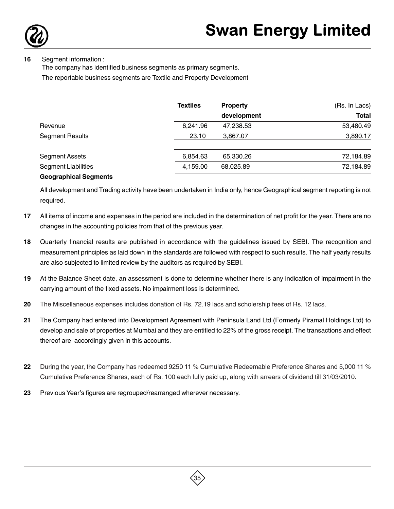

#### **16** Segment information :

The company has identified business segments as primary segments.

The reportable business segments are Textile and Property Development

|                              | <b>Textiles</b> | <b>Property</b> | (Rs. In Lacs) |
|------------------------------|-----------------|-----------------|---------------|
|                              |                 | development     | <b>Total</b>  |
| Revenue                      | 6,241.96        | 47,238.53       | 53,480.49     |
| <b>Segment Results</b>       | 23.10           | 3,867.07        | 3,890.17      |
| <b>Segment Assets</b>        | 6,854.63        | 65,330.26       | 72,184.89     |
| <b>Segment Liabilities</b>   | 4,159.00        | 68,025.89       | 72,184.89     |
| <b>Geographical Segments</b> |                 |                 |               |

All development and Trading activity have been undertaken in India only, hence Geographical segment reporting is not required.

- **17** All items of income and expenses in the period are included in the determination of net profit for the year. There are no changes in the accounting policies from that of the previous year.
- **18** Quarterly financial results are published in accordance with the guidelines issued by SEBI. The recognition and measurement principles as laid down in the standards are followed with respect to such results. The half yearly results are also subjected to limited review by the auditors as required by SEBI.
- **19** At the Balance Sheet date, an assessment is done to determine whether there is any indication of impairment in the carrying amount of the fixed assets. No impairment loss is determined.
- **20** The Miscellaneous expenses includes donation of Rs. 72.19 lacs and scholership fees of Rs. 12 lacs.
- **21** The Company had entered into Development Agreement with Peninsula Land Ltd (Formerly Piramal Holdings Ltd) to develop and sale of properties at Mumbai and they are entitled to 22% of the gross receipt. The transactions and effect thereof are accordingly given in this accounts.
- **22** During the year, the Company has redeemed 9250 11 % Cumulative Redeemable Preference Shares and 5,000 11 % Cumulative Preference Shares, each of Rs. 100 each fully paid up, along with arrears of dividend till 31/03/2010.
- **23** Previous Year's figures are regrouped/rearranged wherever necessary.

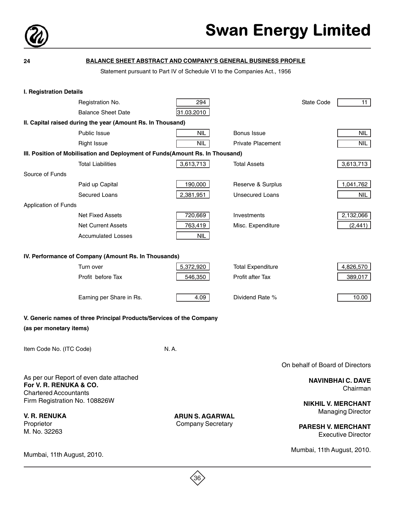

| 24                                                     | <b>BALANCE SHEET ABSTRACT AND COMPANY'S GENERAL BUSINESS PROFILE</b>          |                                                                          |                          |                                 |                                                        |
|--------------------------------------------------------|-------------------------------------------------------------------------------|--------------------------------------------------------------------------|--------------------------|---------------------------------|--------------------------------------------------------|
|                                                        |                                                                               | Statement pursuant to Part IV of Schedule VI to the Companies Act., 1956 |                          |                                 |                                                        |
|                                                        |                                                                               |                                                                          |                          |                                 |                                                        |
| <b>I. Registration Details</b>                         |                                                                               |                                                                          |                          |                                 |                                                        |
|                                                        | Registration No.                                                              | 294                                                                      |                          | State Code                      | 11                                                     |
|                                                        | <b>Balance Sheet Date</b>                                                     | 31.03.2010                                                               |                          |                                 |                                                        |
|                                                        | II. Capital raised during the year (Amount Rs. In Thousand)                   |                                                                          |                          |                                 |                                                        |
|                                                        | <b>Public Issue</b>                                                           | <b>NIL</b>                                                               | Bonus Issue              |                                 | NIL                                                    |
|                                                        | <b>Right Issue</b>                                                            | <b>NIL</b>                                                               | <b>Private Placement</b> |                                 | NIL                                                    |
|                                                        | III. Position of Mobilisation and Deployment of Funds(Amount Rs. In Thousand) |                                                                          |                          |                                 |                                                        |
|                                                        | <b>Total Liabilities</b>                                                      | 3,613,713                                                                | <b>Total Assets</b>      |                                 | 3,613,713                                              |
| Source of Funds                                        |                                                                               |                                                                          |                          |                                 |                                                        |
|                                                        | Paid up Capital                                                               | 190,000                                                                  | Reserve & Surplus        |                                 | 1,041,762                                              |
|                                                        | Secured Loans                                                                 | 2,381,951                                                                | <b>Unsecured Loans</b>   |                                 | NIL                                                    |
| Application of Funds                                   |                                                                               |                                                                          |                          |                                 |                                                        |
|                                                        | <b>Net Fixed Assets</b>                                                       | 720,669                                                                  | Investments              |                                 | 2,132,066                                              |
|                                                        | <b>Net Current Assets</b>                                                     | 763,419                                                                  | Misc. Expenditure        |                                 | (2, 441)                                               |
|                                                        | <b>Accumulated Losses</b>                                                     | <b>NIL</b>                                                               |                          |                                 |                                                        |
|                                                        | IV. Performance of Company (Amount Rs. In Thousands)                          |                                                                          |                          |                                 |                                                        |
|                                                        | Turn over                                                                     | 5,372,920                                                                | <b>Total Expenditure</b> |                                 | 4,826,570                                              |
|                                                        | Profit before Tax                                                             | 546,350                                                                  | Profit after Tax         |                                 | 389,017                                                |
|                                                        |                                                                               |                                                                          |                          |                                 |                                                        |
|                                                        | Earning per Share in Rs.                                                      | 4.09                                                                     | Dividend Rate %          |                                 | 10.00                                                  |
|                                                        | V. Generic names of three Principal Products/Services of the Company          |                                                                          |                          |                                 |                                                        |
| (as per monetary items)                                |                                                                               |                                                                          |                          |                                 |                                                        |
| Item Code No. (ITC Code)                               |                                                                               | N. A.                                                                    |                          |                                 |                                                        |
|                                                        |                                                                               |                                                                          |                          | On behalf of Board of Directors |                                                        |
| For V. R. RENUKA & CO.<br><b>Chartered Accountants</b> | As per our Report of even date attached                                       |                                                                          |                          |                                 | <b>NAVINBHAI C. DAVE</b><br>Chairman                   |
| Firm Registration No. 108826W                          |                                                                               |                                                                          |                          |                                 | <b>NIKHIL V. MERCHANT</b>                              |
| <b>V. R. RENUKA</b>                                    |                                                                               | <b>ARUN S. AGARWAL</b>                                                   |                          |                                 | <b>Managing Director</b>                               |
| Proprietor<br>M. No. 32263                             |                                                                               | <b>Company Secretary</b>                                                 |                          |                                 | <b>PARESH V. MERCHANT</b><br><b>Executive Director</b> |
|                                                        |                                                                               |                                                                          |                          | Mumbai, 11th August, 2010.      |                                                        |
| Mumbai, 11th August, 2010.                             |                                                                               |                                                                          |                          |                                 |                                                        |

 $\overline{\bigotimes}$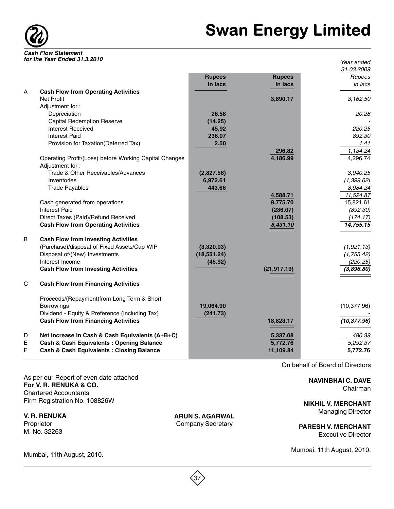

|              |                                                        |               |               | Year ended           |
|--------------|--------------------------------------------------------|---------------|---------------|----------------------|
|              |                                                        | <b>Rupees</b> | <b>Rupees</b> | 31.03.2009<br>Rupees |
|              |                                                        | in lacs       | in lacs       | in lacs              |
| A            | <b>Cash Flow from Operating Activities</b>             |               |               |                      |
|              | Net Profit                                             |               | 3,890.17      | 3,162.50             |
|              | Adjustment for:                                        |               |               |                      |
|              | Depreciation                                           | 26.58         |               | 20.28                |
|              | <b>Capital Redemption Reserve</b>                      | (14.25)       |               |                      |
|              | <b>Interest Received</b>                               | 45.92         |               | 220.25               |
|              | <b>Interest Paid</b>                                   | 236.07        |               | 892.30               |
|              | Provision for Taxation(Deferred Tax)                   | 2.50          |               | 1.41                 |
|              |                                                        |               | 296.82        | 1,134.24             |
|              | Operating Profit/(Loss) before Working Capital Changes |               | 4,186.99      | 4,296.74             |
|              | Adjustment for:                                        |               |               |                      |
|              | Trade & Other Receivables/Advances                     | (2,827.56)    |               | 3,940.25             |
|              | Inventories                                            | 6,972.61      |               | (1,399.62)           |
|              | <b>Trade Payables</b>                                  | 443.66        |               | 8,984.24             |
|              |                                                        |               | 4,588.71      | 11,524.87            |
|              | Cash generated from operations                         |               | 8,775.70      | 15,821.61            |
|              | <b>Interest Paid</b>                                   |               | (236.07)      | (892.30)             |
|              | Direct Taxes (Paid)/Refund Received                    |               | (108.53)      | (174.17)             |
|              | <b>Cash Flow from Operating Activities</b>             |               | 8,431.10      | 14,755.15            |
| B            | <b>Cash Flow from Investing Activities</b>             |               |               |                      |
|              | (Purchase)/disposal of Fixed Assets/Cap WIP            | (3,320.03)    |               | (1,921.13)           |
|              | Disposal of/(New) Investments                          | (18, 551.24)  |               | (1,755.42)           |
|              | Interest Income                                        | (45.92)       |               | (220.25)             |
|              | <b>Cash Flow from Investing Activities</b>             |               | (21, 917.19)  | (3,896.80)           |
|              |                                                        |               |               |                      |
| $\mathsf{C}$ | <b>Cash Flow from Financing Activities</b>             |               |               |                      |
|              | Proceeds/(Repayment)from Long Term & Short             |               |               |                      |
|              | <b>Borrowings</b>                                      | 19,064.90     |               | (10, 377.96)         |
|              | Dividend - Equity & Preference (Including Tax)         | (241.73)      |               |                      |
|              | <b>Cash Flow from Financing Activities</b>             |               | 18,823.17     | (10, 377.96)         |
| D            | Net increase in Cash & Cash Equivalents (A+B+C)        |               | 5,337.08      | 480.39               |
| $\mathsf E$  | <b>Cash &amp; Cash Equivalents: Opening Balance</b>    |               | 5,772.76      | 5,292.37             |
| F            | <b>Cash &amp; Cash Equivalents: Closing Balance</b>    |               | 11,109.84     | 5,772.76             |
|              |                                                        |               |               |                      |

As per our Report of even date attached **For V. R. RENUKA & CO.** Chartered Accountants Firm Registration No. 108826W

**V. R. RENUKA** Proprietor M. No. 32263

Mumbai, 11th August, 2010.

**ARUN S. AGARWAL** Company Secretary

On behalf of Board of Directors

**NAVINBHAI C. DAVE** Chairman

**NIKHIL V. MERCHANT** Managing Director

**PARESH V. MERCHANT** Executive Director

Mumbai, 11th August, 2010.

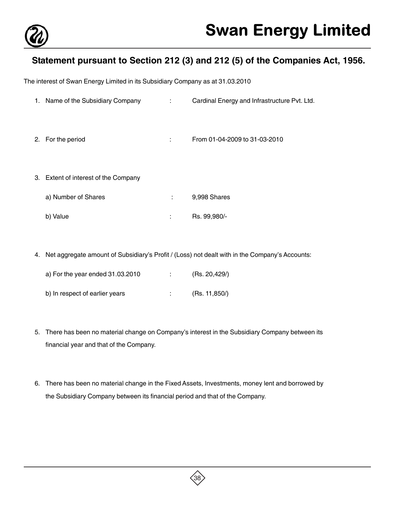

# **Statement pursuant to Section 212 (3) and 212 (5) of the Companies Act, 1956.**

The interest of Swan Energy Limited in its Subsidiary Company as at 31.03.2010

- 1. Name of the Subsidiary Company : Cardinal Energy and Infrastructure Pvt. Ltd.
- 2. For the period : From 01-04-2009 to 31-03-2010
- 3. Extent of interest of the Company

| a) Number of Shares | 9,998 Shares |
|---------------------|--------------|
| b) Value            | Rs. 99,980/- |

4. Net aggregate amount of Subsidiary's Profit / (Loss) not dealt with in the Company's Accounts:

| a) For the year ended 31.03.2010 | (Rs. 20,429/) |
|----------------------------------|---------------|
| b) In respect of earlier years   | (Rs. 11,850/) |

- 5. There has been no material change on Company's interest in the Subsidiary Company between its financial year and that of the Company.
- 6. There has been no material change in the Fixed Assets, Investments, money lent and borrowed by the Subsidiary Company between its financial period and that of the Company.

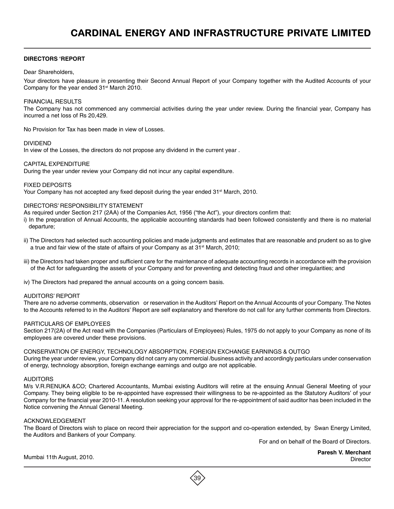#### **DIRECTORS 'REPORT**

#### Dear Shareholders,

Your directors have pleasure in presenting their Second Annual Report of your Company together with the Audited Accounts of your Company for the year ended 31<sup>st</sup> March 2010.

#### FINANCIAL RESULTS

The Company has not commenced any commercial activities during the year under review. During the financial year, Company has incurred a net loss of Rs 20,429.

No Provision for Tax has been made in view of Losses.

#### DIVIDEND

In view of the Losses, the directors do not propose any dividend in the current year .

#### CAPITAL EXPENDITURE

During the year under review your Company did not incur any capital expenditure.

#### FIXED DEPOSITS

Your Company has not accepted any fixed deposit during the year ended  $31<sup>st</sup>$  March, 2010.

#### DIRECTORS' RESPONSIBILITY STATEMENT

As required under Section 217 (2AA) of the Companies Act, 1956 ("the Act"), your directors confirm that:

i) In the preparation of Annual Accounts, the applicable accounting standards had been followed consistently and there is no material departure;

- ii) The Directors had selected such accounting policies and made judgments and estimates that are reasonable and prudent so as to give a true and fair view of the state of affairs of your Company as at 31<sup>st</sup> March, 2010;
- iii) the Directors had taken proper and sufficient care for the maintenance of adequate accounting records in accordance with the provision of the Act for safeguarding the assets of your Company and for preventing and detecting fraud and other irregularities; and
- iv) The Directors had prepared the annual accounts on a going concern basis.

#### AUDITORS' REPORT

There are no adverse comments, observation or reservation in the Auditors' Report on the Annual Accounts of your Company. The Notes to the Accounts referred to in the Auditors' Report are self explanatory and therefore do not call for any further comments from Directors.

#### PARTICULARS OF EMPLOYEES

Section 217(2A) of the Act read with the Companies (Particulars of Employees) Rules, 1975 do not apply to your Company as none of its employees are covered under these provisions.

#### CONSERVATION OF ENERGY, TECHNOLOGY ABSORPTION, FOREIGN EXCHANGE EARNINGS & OUTGO

During the year under review, your Company did not carry any commercial /business activity and accordingly particulars under conservation of energy, technology absorption, foreign exchange earnings and outgo are not applicable.

#### AUDITORS

M/s V.R.RENUKA &CO; Chartered Accountants, Mumbai existing Auditors will retire at the ensuing Annual General Meeting of your Company. They being eligible to be re-appointed have expressed their willingness to be re-appointed as the Statutory Auditors' of your Company for the financial year 2010-11. A resolution seeking your approval for the re-appointment of said auditor has been included in the Notice convening the Annual General Meeting.

#### ACKNOWLEDGEMENT

The Board of Directors wish to place on record their appreciation for the support and co-operation extended, by Swan Energy Limited, the Auditors and Bankers of your Company.

For and on behalf of the Board of Directors.

**Paresh V. Merchant**

Mumbai 11th August, 2010. Director

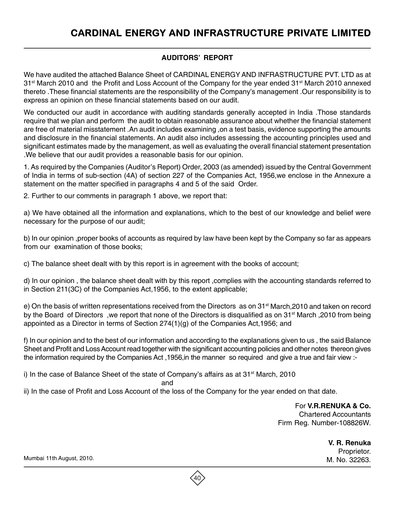# **AUDITORS' REPORT**

We have audited the attached Balance Sheet of CARDINAL ENERGY AND INFRASTRUCTURE PVT. LTD as at 31<sup>st</sup> March 2010 and the Profit and Loss Account of the Company for the year ended 31<sup>st</sup> March 2010 annexed thereto .These financial statements are the responsibility of the Company's management .Our responsibility is to express an opinion on these financial statements based on our audit.

We conducted our audit in accordance with auditing standards generally accepted in India .Those standards require that we plan and perform the audit to obtain reasonable assurance about whether the financial statement are free of material misstatement .An audit includes examining ,on a test basis, evidence supporting the amounts and disclosure in the financial statements. An audit also includes assessing the accounting principles used and significant estimates made by the management, as well as evaluating the overall financial statement presentation .We believe that our audit provides a reasonable basis for our opinion.

1. As required by the Companies (Auditor's Report) Order, 2003 (as amended) issued by the Central Government of India in terms of sub-section (4A) of section 227 of the Companies Act, 1956,we enclose in the Annexure a statement on the matter specified in paragraphs 4 and 5 of the said Order.

2. Further to our comments in paragraph 1 above, we report that:

a) We have obtained all the information and explanations, which to the best of our knowledge and belief were necessary for the purpose of our audit;

b) In our opinion ,proper books of accounts as required by law have been kept by the Company so far as appears from our examination of those books;

c) The balance sheet dealt with by this report is in agreement with the books of account;

d) In our opinion , the balance sheet dealt with by this report ,complies with the accounting standards referred to in Section 211(3C) of the Companies Act,1956, to the extent applicable;

e) On the basis of written representations received from the Directors as on 31<sup>st</sup> March,2010 and taken on record by the Board of Directors, we report that none of the Directors is disqualified as on 31<sup>st</sup> March, 2010 from being appointed as a Director in terms of Section  $274(1)(q)$  of the Companies Act, 1956; and

f) In our opinion and to the best of our information and according to the explanations given to us , the said Balance Sheet and Profit and Loss Account read together with the significant accounting policies and other notes thereon gives the information required by the Companies Act ,1956,in the manner so required and give a true and fair view :-

i) In the case of Balance Sheet of the state of Company's affairs as at  $31<sup>st</sup>$  March, 2010

and the contract of the contract of the contract of the contract of the contract of the contract of the contract of the contract of the contract of the contract of the contract of the contract of the contract of the contra

ii) In the case of Profit and Loss Account of the loss of the Company for the year ended on that date.

For **V.R.RENUKA & Co.** Chartered Accountants Firm Reg. Number-108826W.

> **V. R. Renuka** Proprietor.

Mumbai 11th August, 2010. M. No. 32263.

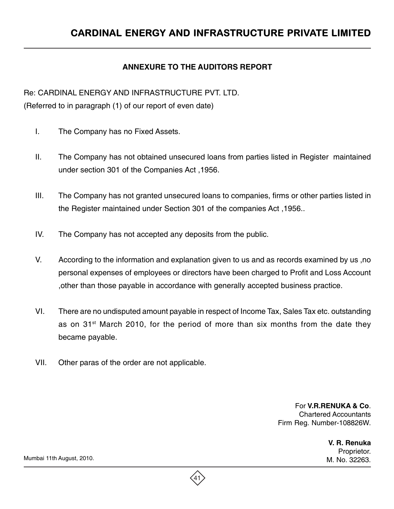# **ANNEXURE TO THE AUDITORS REPORT**

Re: CARDINAL ENERGY AND INFRASTRUCTURE PVT. LTD.

(Referred to in paragraph (1) of our report of even date)

- I. The Company has no Fixed Assets.
- II. The Company has not obtained unsecured loans from parties listed in Register maintained under section 301 of the Companies Act ,1956.
- III. The Company has not granted unsecured loans to companies, firms or other parties listed in the Register maintained under Section 301 of the companies Act ,1956..
- IV. The Company has not accepted any deposits from the public.
- V. According to the information and explanation given to us and as records examined by us ,no personal expenses of employees or directors have been charged to Profit and Loss Account ,other than those payable in accordance with generally accepted business practice.
- VI. There are no undisputed amount payable in respect of Income Tax, Sales Tax etc. outstanding as on 31<sup>st</sup> March 2010, for the period of more than six months from the date they became payable.
- VII. Other paras of the order are not applicable.

For **V.R.RENUKA & Co**. Chartered Accountants Firm Reg. Number-108826W.

> **V. R. Renuka** Proprietor.

Mumbai 11th August, 2010. M. No. 32263.

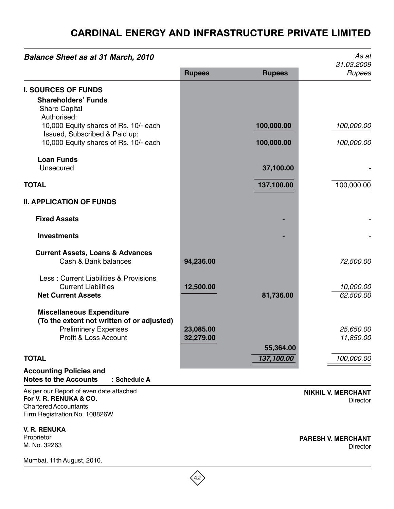# CARDINAL ENERGY AND INFRASTRUCTURE PRIVATE LIMITED

| <b>Balance Sheet as at 31 March, 2010</b>                                                                                              |                        |                          | As at<br>31.03.2009                          |
|----------------------------------------------------------------------------------------------------------------------------------------|------------------------|--------------------------|----------------------------------------------|
|                                                                                                                                        | <b>Rupees</b>          | <b>Rupees</b>            | Rupees                                       |
| <b>I. SOURCES OF FUNDS</b><br><b>Shareholders' Funds</b><br><b>Share Capital</b>                                                       |                        |                          |                                              |
| Authorised:<br>10,000 Equity shares of Rs. 10/- each<br>Issued, Subscribed & Paid up:<br>10,000 Equity shares of Rs. 10/- each         |                        | 100,000.00<br>100,000.00 | 100,000.00<br>100,000.00                     |
| <b>Loan Funds</b><br>Unsecured                                                                                                         |                        | 37,100.00                |                                              |
| <b>TOTAL</b>                                                                                                                           |                        | 137,100.00               | 100,000.00                                   |
| <b>II. APPLICATION OF FUNDS</b>                                                                                                        |                        |                          |                                              |
| <b>Fixed Assets</b>                                                                                                                    |                        |                          |                                              |
| <b>Investments</b>                                                                                                                     |                        |                          |                                              |
| <b>Current Assets, Loans &amp; Advances</b><br>Cash & Bank balances                                                                    | 94,236.00              |                          | 72,500.00                                    |
| Less: Current Liabilities & Provisions<br><b>Current Liabilities</b><br><b>Net Current Assets</b>                                      | 12,500.00              | 81,736.00                | 10,000.00<br>62,500.00                       |
| <b>Miscellaneous Expenditure</b><br>(To the extent not written of or adjusted)<br><b>Preliminery Expenses</b><br>Profit & Loss Account | 23,085.00<br>32,279.00 |                          | 25,650.00<br>11,850.00                       |
| <b>TOTAL</b>                                                                                                                           |                        | 55,364.00<br>137,100.00  | 100,000.00                                   |
| <b>Accounting Policies and</b><br><b>Notes to the Accounts</b><br>: Schedule A                                                         |                        |                          |                                              |
| As per our Report of even date attached<br>For V. R. RENUKA & CO.<br><b>Chartered Accountants</b><br>Firm Registration No. 108826W     |                        |                          | <b>NIKHIL V. MERCHANT</b><br><b>Director</b> |
| <b>V. R. RENUKA</b><br>Proprietor<br>M. No. 32263                                                                                      |                        |                          | <b>PARESH V. MERCHANT</b><br><b>Director</b> |
| Mumbai, 11th August, 2010.                                                                                                             |                        |                          |                                              |

 $\overline{42}$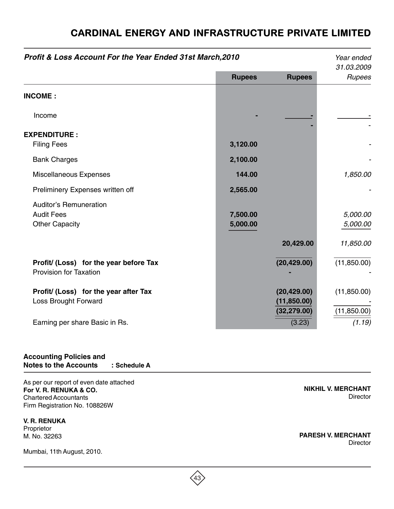| Profit & Loss Account For the Year Ended 31st March, 2010               |               |                              | Year ended           |
|-------------------------------------------------------------------------|---------------|------------------------------|----------------------|
|                                                                         | <b>Rupees</b> | <b>Rupees</b>                | 31.03.2009<br>Rupees |
| <b>INCOME:</b>                                                          |               |                              |                      |
| Income                                                                  |               |                              |                      |
| <b>EXPENDITURE:</b>                                                     |               |                              |                      |
| <b>Filing Fees</b>                                                      | 3,120.00      |                              |                      |
| <b>Bank Charges</b>                                                     | 2,100.00      |                              |                      |
| <b>Miscellaneous Expenses</b>                                           | 144.00        |                              | 1,850.00             |
| Preliminery Expenses written off                                        | 2,565.00      |                              |                      |
| <b>Auditor's Remuneration</b>                                           |               |                              |                      |
| <b>Audit Fees</b>                                                       | 7,500.00      |                              | 5,000.00             |
| <b>Other Capacity</b>                                                   | 5,000.00      |                              | 5,000.00             |
|                                                                         |               | 20,429.00                    | 11,850.00            |
| Profit/ (Loss) for the year before Tax<br><b>Provision for Taxation</b> |               | (20, 429.00)                 | (11,850.00)          |
| Profit/ (Loss) for the year after Tax                                   |               | (20, 429.00)                 | (11, 850.00)         |
| Loss Brought Forward                                                    |               | (11, 850.00)<br>(32, 279.00) | (11, 850.00)         |
| Earning per share Basic in Rs.                                          |               | (3.23)                       | (1.19)               |

 $(43)$ 

# CARDINAL ENERGY AND INFRASTRUCTURE PRIVATE LIMITED

## **Accounting Policies and Notes to the Accounts : Schedule A**

As per our report of even date attached **For V. R. RENUKA & CO.** Chartered Accountants Firm Registration No. 108826W

**V. R. RENUKA** Proprietor M. No. 32263

Mumbai, 11th August, 2010.

**NIKHIL V. MERCHANT Director** 

**PARESH V. MERCHANT Director**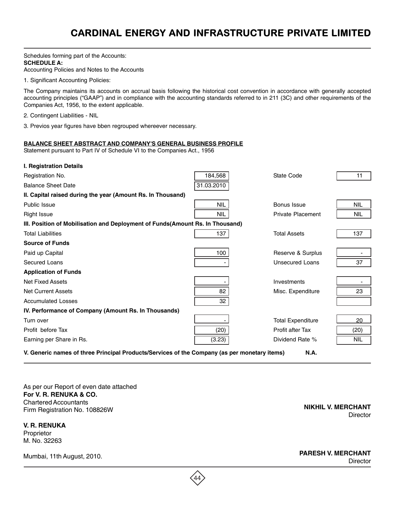Schedules forming part of the Accounts: **SCHEDULE A:** Accounting Policies and Notes to the Accounts

1. Significant Accounting Policies:

The Company maintains its accounts on accrual basis following the historical cost convention in accordance with generally accepted accounting principles ("GAAP") and in compliance with the accounting standards referred to in 211 (3C) and other requirements of the Companies Act, 1956, to the extent applicable.

2. Contingent Liabilities - NIL

3. Previos year figures have bben regrouped whereever necessary.

#### **BALANCE SHEET ABSTRACT AND COMPANY'S GENERAL BUSINESS PROFILE**

Statement pursuant to Part IV of Schedule VI to the Companies Act., 1956

| I. Registration Details                                                                                     |            |                          |            |  |
|-------------------------------------------------------------------------------------------------------------|------------|--------------------------|------------|--|
| Registration No.                                                                                            | 184,568    | State Code               | 11         |  |
| <b>Balance Sheet Date</b>                                                                                   | 31.03.2010 |                          |            |  |
| II. Capital raised during the year (Amount Rs. In Thousand)                                                 |            |                          |            |  |
| Public Issue                                                                                                | <b>NIL</b> | Bonus Issue              | <b>NIL</b> |  |
| <b>Right Issue</b>                                                                                          | <b>NIL</b> | <b>Private Placement</b> | <b>NIL</b> |  |
| III. Position of Mobilisation and Deployment of Funds(Amount Rs. In Thousand)                               |            |                          |            |  |
| <b>Total Liabilities</b>                                                                                    | 137        | <b>Total Assets</b>      | 137        |  |
| <b>Source of Funds</b>                                                                                      |            |                          |            |  |
| Paid up Capital                                                                                             | 100        | Reserve & Surplus        |            |  |
| Secured Loans                                                                                               |            | Unsecured Loans          | 37         |  |
| <b>Application of Funds</b>                                                                                 |            |                          |            |  |
| <b>Net Fixed Assets</b>                                                                                     |            | Investments              |            |  |
| <b>Net Current Assets</b>                                                                                   | 82         | Misc. Expenditure        | 23         |  |
| <b>Accumulated Losses</b>                                                                                   | 32         |                          |            |  |
| IV. Performance of Company (Amount Rs. In Thousands)                                                        |            |                          |            |  |
| Turn over                                                                                                   |            | <b>Total Expenditure</b> | 20         |  |
| Profit before Tax                                                                                           | (20)       | Profit after Tax         | (20)       |  |
| Earning per Share in Rs.                                                                                    | (3.23)     | Dividend Rate %          | <b>NIL</b> |  |
| V. Generic names of three Principal Products/Services of the Company (as per monetary items)<br><b>N.A.</b> |            |                          |            |  |

44

As per our Report of even date attached **For V. R. RENUKA & CO.** Chartered Accountants Firm Registration No. 108826W

**V. R. RENUKA** Proprietor M. No. 32263

**NIKHIL V. MERCHANT Director** 

Mumbai, 11th August, 2010.

**PARESH V. MERCHANT Director**